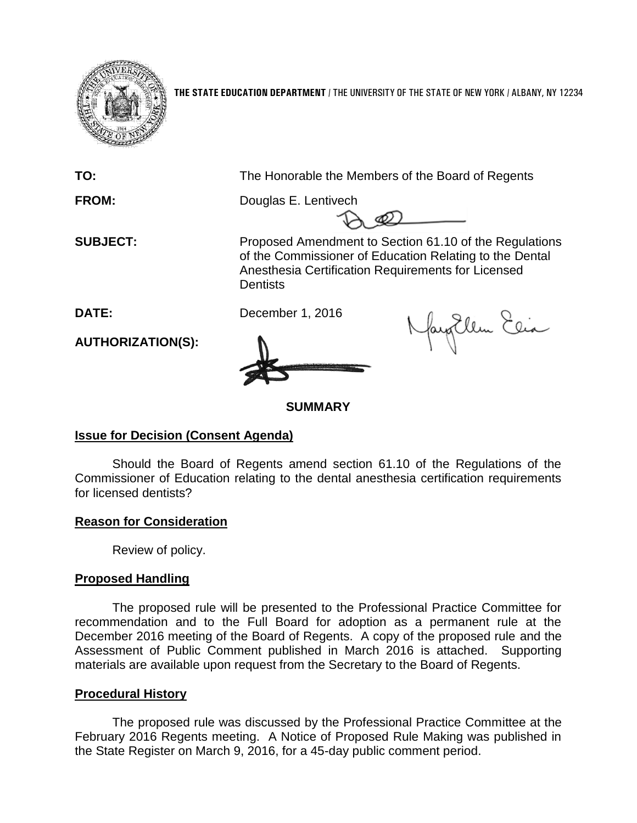

**THE STATE EDUCATION DEPARTMENT** / THE UNIVERSITY OF THE STATE OF NEW YORK / ALBANY, NY 12234

**TO:** The Honorable the Members of the Board of Regents

**FROM:** Douglas E. Lentivech

**SUBJECT:** Proposed Amendment to Section 61.10 of the Regulations of the Commissioner of Education Relating to the Dental Anesthesia Certification Requirements for Licensed **Dentists** 

fayEllen Elia

**DATE:** December 1, 2016

**AUTHORIZATION(S):**

# **SUMMARY**

## **Issue for Decision (Consent Agenda)**

Should the Board of Regents amend section 61.10 of the Regulations of the Commissioner of Education relating to the dental anesthesia certification requirements for licensed dentists?

## **Reason for Consideration**

Review of policy.

# **Proposed Handling**

The proposed rule will be presented to the Professional Practice Committee for recommendation and to the Full Board for adoption as a permanent rule at the December 2016 meeting of the Board of Regents. A copy of the proposed rule and the Assessment of Public Comment published in March 2016 is attached. Supporting materials are available upon request from the Secretary to the Board of Regents.

## **Procedural History**

The proposed rule was discussed by the Professional Practice Committee at the February 2016 Regents meeting. A Notice of Proposed Rule Making was published in the State Register on March 9, 2016, for a 45-day public comment period.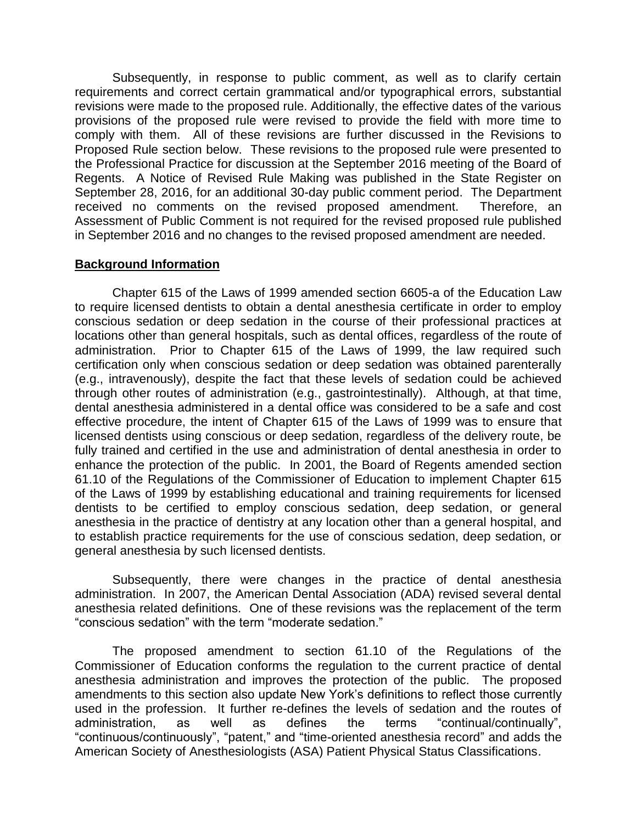Subsequently, in response to public comment, as well as to clarify certain requirements and correct certain grammatical and/or typographical errors, substantial revisions were made to the proposed rule. Additionally, the effective dates of the various provisions of the proposed rule were revised to provide the field with more time to comply with them. All of these revisions are further discussed in the Revisions to Proposed Rule section below. These revisions to the proposed rule were presented to the Professional Practice for discussion at the September 2016 meeting of the Board of Regents. A Notice of Revised Rule Making was published in the State Register on September 28, 2016, for an additional 30-day public comment period. The Department received no comments on the revised proposed amendment. Therefore, an Assessment of Public Comment is not required for the revised proposed rule published in September 2016 and no changes to the revised proposed amendment are needed.

## **Background Information**

Chapter 615 of the Laws of 1999 amended section 6605-a of the Education Law to require licensed dentists to obtain a dental anesthesia certificate in order to employ conscious sedation or deep sedation in the course of their professional practices at locations other than general hospitals, such as dental offices, regardless of the route of administration. Prior to Chapter 615 of the Laws of 1999, the law required such certification only when conscious sedation or deep sedation was obtained parenterally (e.g., intravenously), despite the fact that these levels of sedation could be achieved through other routes of administration (e.g., gastrointestinally). Although, at that time, dental anesthesia administered in a dental office was considered to be a safe and cost effective procedure, the intent of Chapter 615 of the Laws of 1999 was to ensure that licensed dentists using conscious or deep sedation, regardless of the delivery route, be fully trained and certified in the use and administration of dental anesthesia in order to enhance the protection of the public. In 2001, the Board of Regents amended section 61.10 of the Regulations of the Commissioner of Education to implement Chapter 615 of the Laws of 1999 by establishing educational and training requirements for licensed dentists to be certified to employ conscious sedation, deep sedation, or general anesthesia in the practice of dentistry at any location other than a general hospital, and to establish practice requirements for the use of conscious sedation, deep sedation, or general anesthesia by such licensed dentists.

Subsequently, there were changes in the practice of dental anesthesia administration. In 2007, the American Dental Association (ADA) revised several dental anesthesia related definitions. One of these revisions was the replacement of the term "conscious sedation" with the term "moderate sedation."

The proposed amendment to section 61.10 of the Regulations of the Commissioner of Education conforms the regulation to the current practice of dental anesthesia administration and improves the protection of the public. The proposed amendments to this section also update New York's definitions to reflect those currently used in the profession. It further re-defines the levels of sedation and the routes of administration, as well as defines the terms "continual/continually", "continuous/continuously", "patent," and "time-oriented anesthesia record" and adds the American Society of Anesthesiologists (ASA) Patient Physical Status Classifications.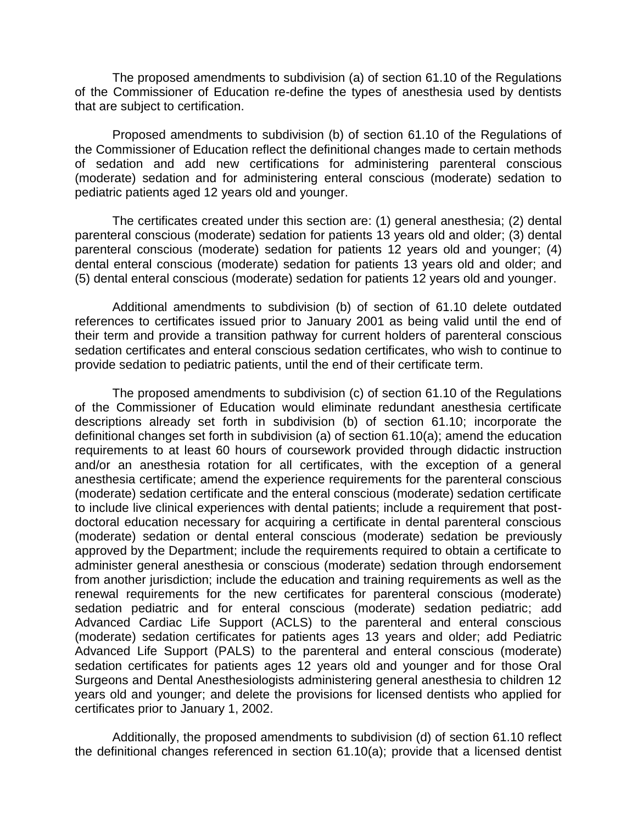The proposed amendments to subdivision (a) of section 61.10 of the Regulations of the Commissioner of Education re-define the types of anesthesia used by dentists that are subject to certification.

Proposed amendments to subdivision (b) of section 61.10 of the Regulations of the Commissioner of Education reflect the definitional changes made to certain methods of sedation and add new certifications for administering parenteral conscious (moderate) sedation and for administering enteral conscious (moderate) sedation to pediatric patients aged 12 years old and younger.

The certificates created under this section are: (1) general anesthesia; (2) dental parenteral conscious (moderate) sedation for patients 13 years old and older; (3) dental parenteral conscious (moderate) sedation for patients 12 years old and younger; (4) dental enteral conscious (moderate) sedation for patients 13 years old and older; and (5) dental enteral conscious (moderate) sedation for patients 12 years old and younger.

Additional amendments to subdivision (b) of section of 61.10 delete outdated references to certificates issued prior to January 2001 as being valid until the end of their term and provide a transition pathway for current holders of parenteral conscious sedation certificates and enteral conscious sedation certificates, who wish to continue to provide sedation to pediatric patients, until the end of their certificate term.

The proposed amendments to subdivision (c) of section 61.10 of the Regulations of the Commissioner of Education would eliminate redundant anesthesia certificate descriptions already set forth in subdivision (b) of section 61.10; incorporate the definitional changes set forth in subdivision (a) of section 61.10(a); amend the education requirements to at least 60 hours of coursework provided through didactic instruction and/or an anesthesia rotation for all certificates, with the exception of a general anesthesia certificate; amend the experience requirements for the parenteral conscious (moderate) sedation certificate and the enteral conscious (moderate) sedation certificate to include live clinical experiences with dental patients; include a requirement that postdoctoral education necessary for acquiring a certificate in dental parenteral conscious (moderate) sedation or dental enteral conscious (moderate) sedation be previously approved by the Department; include the requirements required to obtain a certificate to administer general anesthesia or conscious (moderate) sedation through endorsement from another jurisdiction; include the education and training requirements as well as the renewal requirements for the new certificates for parenteral conscious (moderate) sedation pediatric and for enteral conscious (moderate) sedation pediatric; add Advanced Cardiac Life Support (ACLS) to the parenteral and enteral conscious (moderate) sedation certificates for patients ages 13 years and older; add Pediatric Advanced Life Support (PALS) to the parenteral and enteral conscious (moderate) sedation certificates for patients ages 12 years old and younger and for those Oral Surgeons and Dental Anesthesiologists administering general anesthesia to children 12 years old and younger; and delete the provisions for licensed dentists who applied for certificates prior to January 1, 2002.

Additionally, the proposed amendments to subdivision (d) of section 61.10 reflect the definitional changes referenced in section 61.10(a); provide that a licensed dentist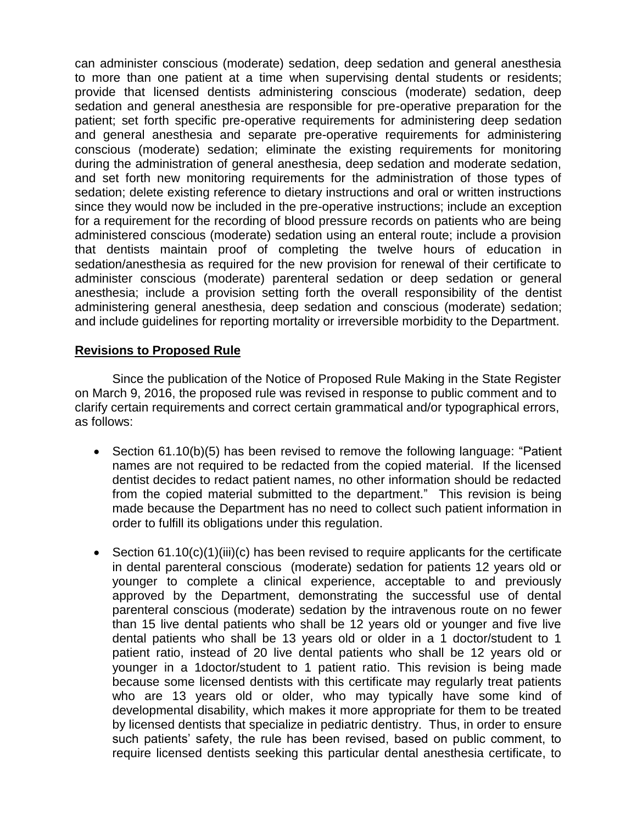can administer conscious (moderate) sedation, deep sedation and general anesthesia to more than one patient at a time when supervising dental students or residents; provide that licensed dentists administering conscious (moderate) sedation, deep sedation and general anesthesia are responsible for pre-operative preparation for the patient; set forth specific pre-operative requirements for administering deep sedation and general anesthesia and separate pre-operative requirements for administering conscious (moderate) sedation; eliminate the existing requirements for monitoring during the administration of general anesthesia, deep sedation and moderate sedation, and set forth new monitoring requirements for the administration of those types of sedation; delete existing reference to dietary instructions and oral or written instructions since they would now be included in the pre-operative instructions; include an exception for a requirement for the recording of blood pressure records on patients who are being administered conscious (moderate) sedation using an enteral route; include a provision that dentists maintain proof of completing the twelve hours of education in sedation/anesthesia as required for the new provision for renewal of their certificate to administer conscious (moderate) parenteral sedation or deep sedation or general anesthesia; include a provision setting forth the overall responsibility of the dentist administering general anesthesia, deep sedation and conscious (moderate) sedation; and include guidelines for reporting mortality or irreversible morbidity to the Department.

## **Revisions to Proposed Rule**

Since the publication of the Notice of Proposed Rule Making in the State Register on March 9, 2016, the proposed rule was revised in response to public comment and to clarify certain requirements and correct certain grammatical and/or typographical errors, as follows:

- Section 61.10(b)(5) has been revised to remove the following language: "Patient names are not required to be redacted from the copied material. If the licensed dentist decides to redact patient names, no other information should be redacted from the copied material submitted to the department." This revision is being made because the Department has no need to collect such patient information in order to fulfill its obligations under this regulation.
- Section  $61.10(c)(1)(iii)(c)$  has been revised to require applicants for the certificate in dental parenteral conscious (moderate) sedation for patients 12 years old or younger to complete a clinical experience, acceptable to and previously approved by the Department, demonstrating the successful use of dental parenteral conscious (moderate) sedation by the intravenous route on no fewer than 15 live dental patients who shall be 12 years old or younger and five live dental patients who shall be 13 years old or older in a 1 doctor/student to 1 patient ratio, instead of 20 live dental patients who shall be 12 years old or younger in a 1doctor/student to 1 patient ratio. This revision is being made because some licensed dentists with this certificate may regularly treat patients who are 13 years old or older, who may typically have some kind of developmental disability, which makes it more appropriate for them to be treated by licensed dentists that specialize in pediatric dentistry. Thus, in order to ensure such patients' safety, the rule has been revised, based on public comment, to require licensed dentists seeking this particular dental anesthesia certificate, to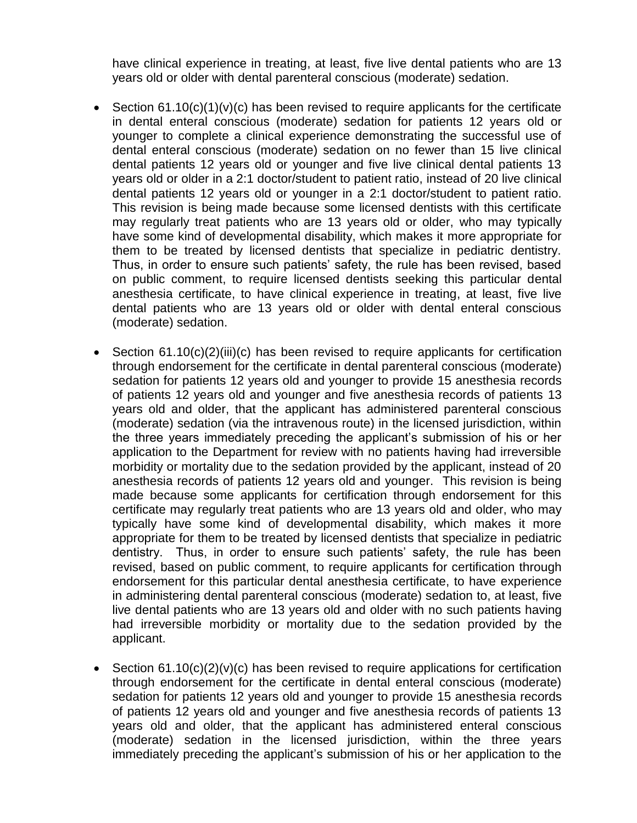have clinical experience in treating, at least, five live dental patients who are 13 years old or older with dental parenteral conscious (moderate) sedation.

- Section  $61.10(c)(1)(v)(c)$  has been revised to require applicants for the certificate in dental enteral conscious (moderate) sedation for patients 12 years old or younger to complete a clinical experience demonstrating the successful use of dental enteral conscious (moderate) sedation on no fewer than 15 live clinical dental patients 12 years old or younger and five live clinical dental patients 13 years old or older in a 2:1 doctor/student to patient ratio, instead of 20 live clinical dental patients 12 years old or younger in a 2:1 doctor/student to patient ratio. This revision is being made because some licensed dentists with this certificate may regularly treat patients who are 13 years old or older, who may typically have some kind of developmental disability, which makes it more appropriate for them to be treated by licensed dentists that specialize in pediatric dentistry. Thus, in order to ensure such patients' safety, the rule has been revised, based on public comment, to require licensed dentists seeking this particular dental anesthesia certificate, to have clinical experience in treating, at least, five live dental patients who are 13 years old or older with dental enteral conscious (moderate) sedation.
- Section 61.10(c)(2)(iii)(c) has been revised to require applicants for certification through endorsement for the certificate in dental parenteral conscious (moderate) sedation for patients 12 years old and younger to provide 15 anesthesia records of patients 12 years old and younger and five anesthesia records of patients 13 years old and older, that the applicant has administered parenteral conscious (moderate) sedation (via the intravenous route) in the licensed jurisdiction, within the three years immediately preceding the applicant's submission of his or her application to the Department for review with no patients having had irreversible morbidity or mortality due to the sedation provided by the applicant, instead of 20 anesthesia records of patients 12 years old and younger. This revision is being made because some applicants for certification through endorsement for this certificate may regularly treat patients who are 13 years old and older, who may typically have some kind of developmental disability, which makes it more appropriate for them to be treated by licensed dentists that specialize in pediatric dentistry. Thus, in order to ensure such patients' safety, the rule has been revised, based on public comment, to require applicants for certification through endorsement for this particular dental anesthesia certificate, to have experience in administering dental parenteral conscious (moderate) sedation to, at least, five live dental patients who are 13 years old and older with no such patients having had irreversible morbidity or mortality due to the sedation provided by the applicant.
- Section  $61.10(c)(2)(v)(c)$  has been revised to require applications for certification through endorsement for the certificate in dental enteral conscious (moderate) sedation for patients 12 years old and younger to provide 15 anesthesia records of patients 12 years old and younger and five anesthesia records of patients 13 years old and older, that the applicant has administered enteral conscious (moderate) sedation in the licensed jurisdiction, within the three years immediately preceding the applicant's submission of his or her application to the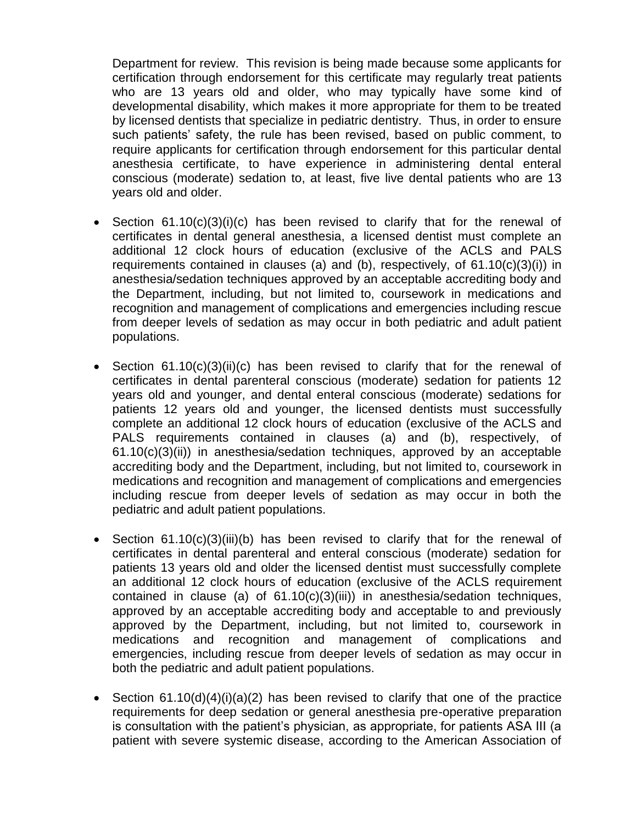Department for review. This revision is being made because some applicants for certification through endorsement for this certificate may regularly treat patients who are 13 years old and older, who may typically have some kind of developmental disability, which makes it more appropriate for them to be treated by licensed dentists that specialize in pediatric dentistry. Thus, in order to ensure such patients' safety, the rule has been revised, based on public comment, to require applicants for certification through endorsement for this particular dental anesthesia certificate, to have experience in administering dental enteral conscious (moderate) sedation to, at least, five live dental patients who are 13 years old and older.

- Section 61.10(c)(3)(i)(c) has been revised to clarify that for the renewal of certificates in dental general anesthesia, a licensed dentist must complete an additional 12 clock hours of education (exclusive of the ACLS and PALS requirements contained in clauses (a) and (b), respectively, of 61.10(c)(3)(i)) in anesthesia/sedation techniques approved by an acceptable accrediting body and the Department, including, but not limited to, coursework in medications and recognition and management of complications and emergencies including rescue from deeper levels of sedation as may occur in both pediatric and adult patient populations.
- Section 61.10(c)(3)(ii)(c) has been revised to clarify that for the renewal of certificates in dental parenteral conscious (moderate) sedation for patients 12 years old and younger, and dental enteral conscious (moderate) sedations for patients 12 years old and younger, the licensed dentists must successfully complete an additional 12 clock hours of education (exclusive of the ACLS and PALS requirements contained in clauses (a) and (b), respectively, of 61.10(c)(3)(ii)) in anesthesia/sedation techniques, approved by an acceptable accrediting body and the Department, including, but not limited to, coursework in medications and recognition and management of complications and emergencies including rescue from deeper levels of sedation as may occur in both the pediatric and adult patient populations.
- Section 61.10(c)(3)(iii)(b) has been revised to clarify that for the renewal of certificates in dental parenteral and enteral conscious (moderate) sedation for patients 13 years old and older the licensed dentist must successfully complete an additional 12 clock hours of education (exclusive of the ACLS requirement contained in clause (a) of 61.10(c)(3)(iii)) in anesthesia/sedation techniques, approved by an acceptable accrediting body and acceptable to and previously approved by the Department, including, but not limited to, coursework in medications and recognition and management of complications and emergencies, including rescue from deeper levels of sedation as may occur in both the pediatric and adult patient populations.
- Section  $61.10(d)(4)(i)(a)(2)$  has been revised to clarify that one of the practice requirements for deep sedation or general anesthesia pre-operative preparation is consultation with the patient's physician, as appropriate, for patients ASA III (a patient with severe systemic disease, according to the American Association of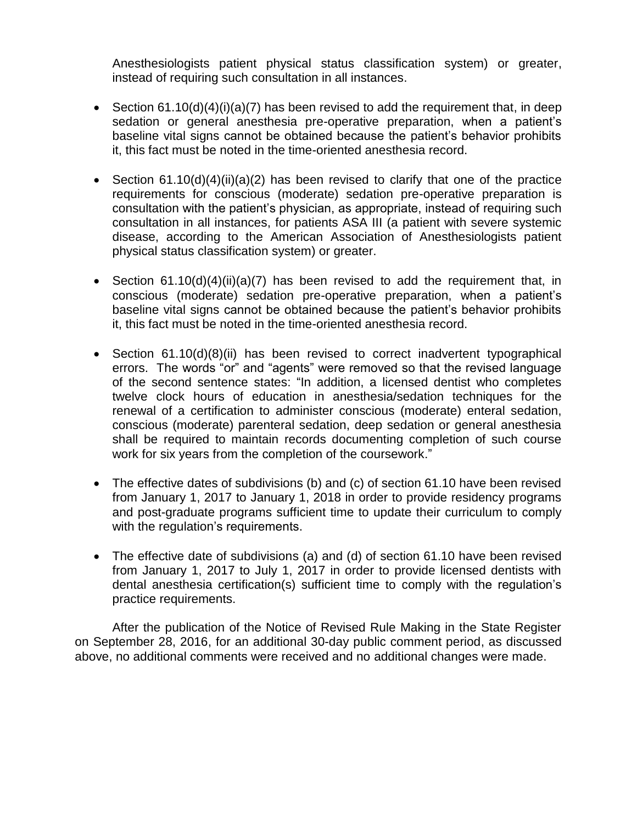Anesthesiologists patient physical status classification system) or greater, instead of requiring such consultation in all instances.

- Section  $61.10(d)(4)(i)(a)(7)$  has been revised to add the requirement that, in deep sedation or general anesthesia pre-operative preparation, when a patient's baseline vital signs cannot be obtained because the patient's behavior prohibits it, this fact must be noted in the time-oriented anesthesia record.
- Section  $61.10(d)(4)(ii)(a)(2)$  has been revised to clarify that one of the practice requirements for conscious (moderate) sedation pre-operative preparation is consultation with the patient's physician, as appropriate, instead of requiring such consultation in all instances, for patients ASA III (a patient with severe systemic disease, according to the American Association of Anesthesiologists patient physical status classification system) or greater.
- Section  $61.10(d)(4)(ii)(a)(7)$  has been revised to add the requirement that, in conscious (moderate) sedation pre-operative preparation, when a patient's baseline vital signs cannot be obtained because the patient's behavior prohibits it, this fact must be noted in the time-oriented anesthesia record.
- Section 61.10(d)(8)(ii) has been revised to correct inadvertent typographical errors. The words "or" and "agents" were removed so that the revised language of the second sentence states: "In addition, a licensed dentist who completes twelve clock hours of education in anesthesia/sedation techniques for the renewal of a certification to administer conscious (moderate) enteral sedation, conscious (moderate) parenteral sedation, deep sedation or general anesthesia shall be required to maintain records documenting completion of such course work for six years from the completion of the coursework."
- The effective dates of subdivisions (b) and (c) of section 61.10 have been revised from January 1, 2017 to January 1, 2018 in order to provide residency programs and post-graduate programs sufficient time to update their curriculum to comply with the regulation's requirements.
- The effective date of subdivisions (a) and (d) of section 61.10 have been revised from January 1, 2017 to July 1, 2017 in order to provide licensed dentists with dental anesthesia certification(s) sufficient time to comply with the regulation's practice requirements.

After the publication of the Notice of Revised Rule Making in the State Register on September 28, 2016, for an additional 30-day public comment period, as discussed above, no additional comments were received and no additional changes were made.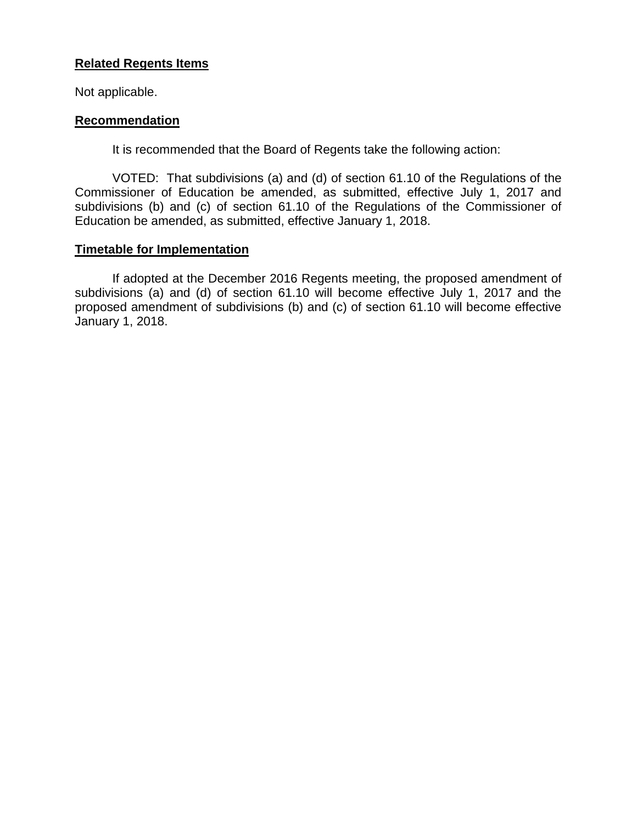## **Related Regents Items**

Not applicable.

## **Recommendation**

It is recommended that the Board of Regents take the following action:

VOTED: That subdivisions (a) and (d) of section 61.10 of the Regulations of the Commissioner of Education be amended, as submitted, effective July 1, 2017 and subdivisions (b) and (c) of section 61.10 of the Regulations of the Commissioner of Education be amended, as submitted, effective January 1, 2018.

## **Timetable for Implementation**

If adopted at the December 2016 Regents meeting, the proposed amendment of subdivisions (a) and (d) of section 61.10 will become effective July 1, 2017 and the proposed amendment of subdivisions (b) and (c) of section 61.10 will become effective January 1, 2018.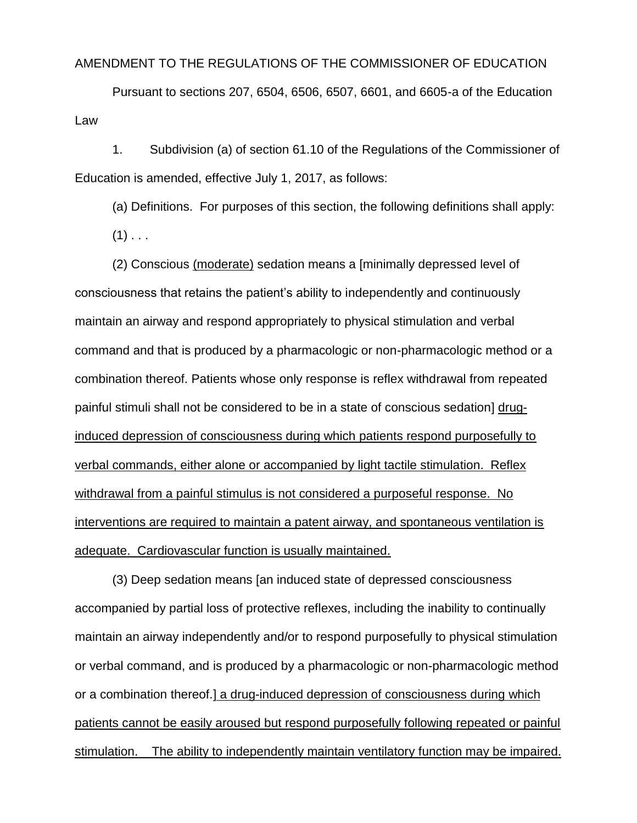### AMENDMENT TO THE REGULATIONS OF THE COMMISSIONER OF EDUCATION

Pursuant to sections 207, 6504, 6506, 6507, 6601, and 6605-a of the Education Law

1. Subdivision (a) of section 61.10 of the Regulations of the Commissioner of Education is amended, effective July 1, 2017, as follows:

(a) Definitions. For purposes of this section, the following definitions shall apply:

 $(1)$  . . .

(2) Conscious (moderate) sedation means a [minimally depressed level of consciousness that retains the patient's ability to independently and continuously maintain an airway and respond appropriately to physical stimulation and verbal command and that is produced by a pharmacologic or non-pharmacologic method or a combination thereof. Patients whose only response is reflex withdrawal from repeated painful stimuli shall not be considered to be in a state of conscious sedation] druginduced depression of consciousness during which patients respond purposefully to verbal commands, either alone or accompanied by light tactile stimulation. Reflex withdrawal from a painful stimulus is not considered a purposeful response. No interventions are required to maintain a patent airway, and spontaneous ventilation is adequate. Cardiovascular function is usually maintained.

(3) Deep sedation means [an induced state of depressed consciousness accompanied by partial loss of protective reflexes, including the inability to continually maintain an airway independently and/or to respond purposefully to physical stimulation or verbal command, and is produced by a pharmacologic or non-pharmacologic method or a combination thereof.] a drug-induced depression of consciousness during which patients cannot be easily aroused but respond purposefully following repeated or painful stimulation. The ability to independently maintain ventilatory function may be impaired.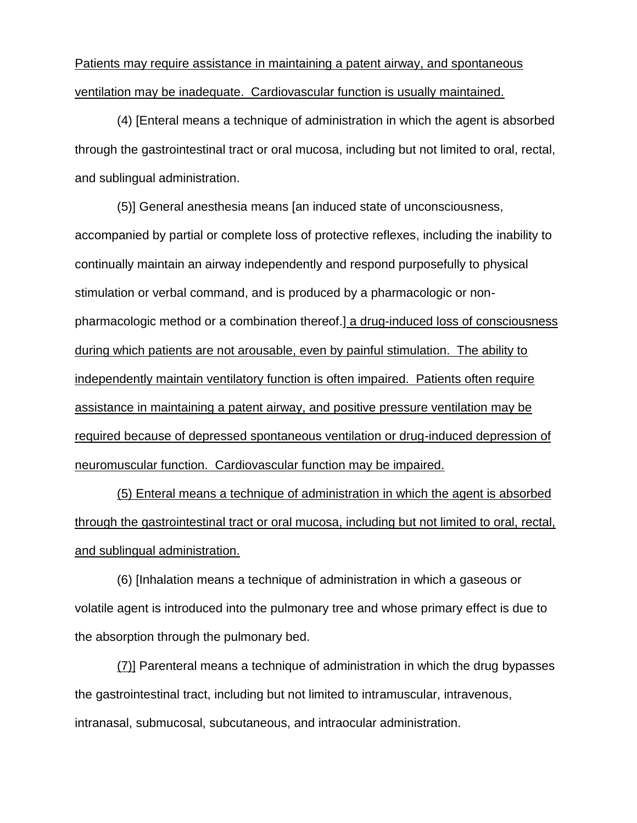Patients may require assistance in maintaining a patent airway, and spontaneous ventilation may be inadequate. Cardiovascular function is usually maintained.

(4) [Enteral means a technique of administration in which the agent is absorbed through the gastrointestinal tract or oral mucosa, including but not limited to oral, rectal, and sublingual administration.

(5)] General anesthesia means [an induced state of unconsciousness, accompanied by partial or complete loss of protective reflexes, including the inability to continually maintain an airway independently and respond purposefully to physical stimulation or verbal command, and is produced by a pharmacologic or nonpharmacologic method or a combination thereof.] a drug-induced loss of consciousness during which patients are not arousable, even by painful stimulation. The ability to independently maintain ventilatory function is often impaired. Patients often require assistance in maintaining a patent airway, and positive pressure ventilation may be required because of depressed spontaneous ventilation or drug-induced depression of neuromuscular function. Cardiovascular function may be impaired.

(5) Enteral means a technique of administration in which the agent is absorbed through the gastrointestinal tract or oral mucosa, including but not limited to oral, rectal, and sublingual administration.

(6) [Inhalation means a technique of administration in which a gaseous or volatile agent is introduced into the pulmonary tree and whose primary effect is due to the absorption through the pulmonary bed.

(7)] Parenteral means a technique of administration in which the drug bypasses the gastrointestinal tract, including but not limited to intramuscular, intravenous, intranasal, submucosal, subcutaneous, and intraocular administration.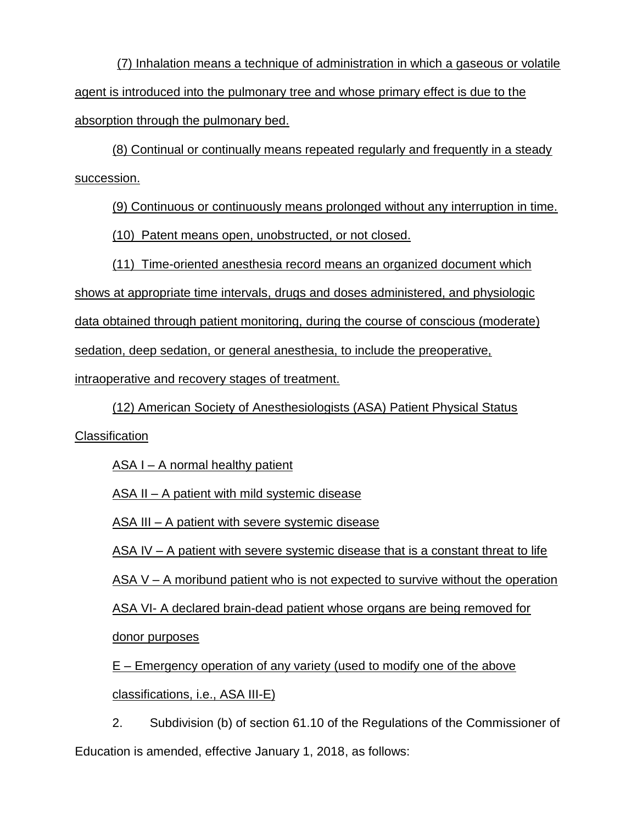(7) Inhalation means a technique of administration in which a gaseous or volatile agent is introduced into the pulmonary tree and whose primary effect is due to the absorption through the pulmonary bed.

(8) Continual or continually means repeated regularly and frequently in a steady succession.

(9) Continuous or continuously means prolonged without any interruption in time.

(10) Patent means open, unobstructed, or not closed.

(11) Time-oriented anesthesia record means an organized document which

shows at appropriate time intervals, drugs and doses administered, and physiologic

data obtained through patient monitoring, during the course of conscious (moderate)

sedation, deep sedation, or general anesthesia, to include the preoperative,

intraoperative and recovery stages of treatment.

(12) American Society of Anesthesiologists (ASA) Patient Physical Status

**Classification** 

ASA I – A normal healthy patient

ASA II – A patient with mild systemic disease

ASA III – A patient with severe systemic disease

ASA IV – A patient with severe systemic disease that is a constant threat to life

ASA V – A moribund patient who is not expected to survive without the operation

ASA VI- A declared brain-dead patient whose organs are being removed for

donor purposes

E – Emergency operation of any variety (used to modify one of the above classifications, i.e., ASA III-E)

2. Subdivision (b) of section 61.10 of the Regulations of the Commissioner of Education is amended, effective January 1, 2018, as follows: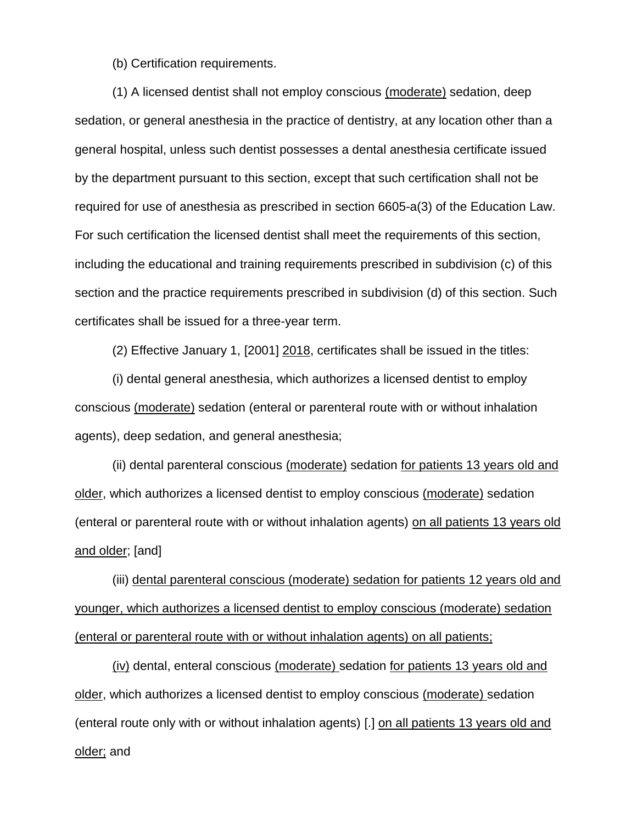(b) Certification requirements.

(1) A licensed dentist shall not employ conscious (moderate) sedation, deep sedation, or general anesthesia in the practice of dentistry, at any location other than a general hospital, unless such dentist possesses a dental anesthesia certificate issued by the department pursuant to this section, except that such certification shall not be required for use of anesthesia as prescribed in section 6605-a(3) of the Education Law. For such certification the licensed dentist shall meet the requirements of this section, including the educational and training requirements prescribed in subdivision (c) of this section and the practice requirements prescribed in subdivision (d) of this section. Such certificates shall be issued for a three-year term.

(2) Effective January 1, [2001] 2018, certificates shall be issued in the titles:

(i) dental general anesthesia, which authorizes a licensed dentist to employ conscious (moderate) sedation (enteral or parenteral route with or without inhalation agents), deep sedation, and general anesthesia;

(ii) dental parenteral conscious (moderate) sedation for patients 13 years old and older, which authorizes a licensed dentist to employ conscious (moderate) sedation (enteral or parenteral route with or without inhalation agents) on all patients 13 years old and older; [and]

(iii) dental parenteral conscious (moderate) sedation for patients 12 years old and younger, which authorizes a licensed dentist to employ conscious (moderate) sedation (enteral or parenteral route with or without inhalation agents) on all patients;

(iv) dental, enteral conscious (moderate) sedation for patients 13 years old and older, which authorizes a licensed dentist to employ conscious (moderate) sedation (enteral route only with or without inhalation agents) [.] on all patients 13 years old and older; and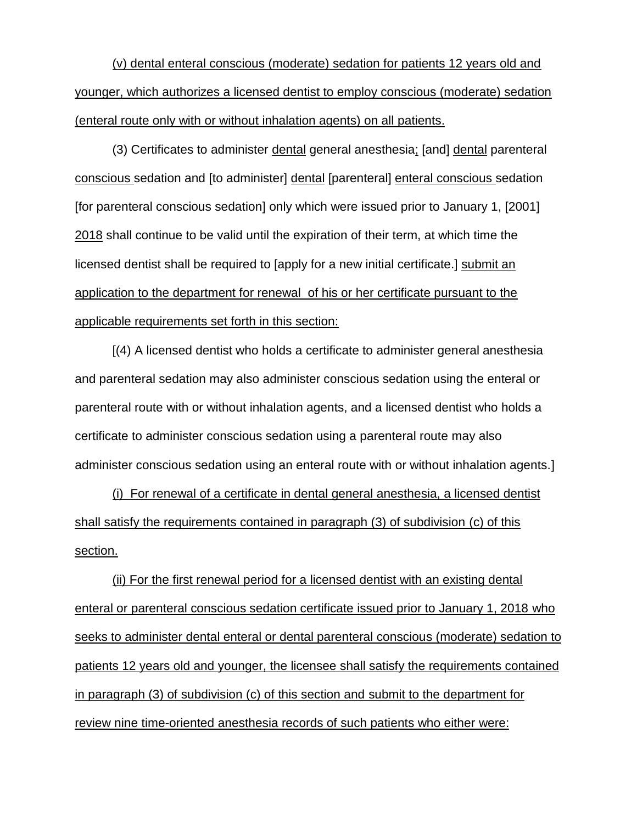(v) dental enteral conscious (moderate) sedation for patients 12 years old and younger, which authorizes a licensed dentist to employ conscious (moderate) sedation (enteral route only with or without inhalation agents) on all patients.

(3) Certificates to administer dental general anesthesia; [and] dental parenteral conscious sedation and [to administer] dental [parenteral] enteral conscious sedation [for parenteral conscious sedation] only which were issued prior to January 1, [2001] 2018 shall continue to be valid until the expiration of their term, at which time the licensed dentist shall be required to [apply for a new initial certificate.] submit an application to the department for renewal of his or her certificate pursuant to the applicable requirements set forth in this section:

[(4) A licensed dentist who holds a certificate to administer general anesthesia and parenteral sedation may also administer conscious sedation using the enteral or parenteral route with or without inhalation agents, and a licensed dentist who holds a certificate to administer conscious sedation using a parenteral route may also administer conscious sedation using an enteral route with or without inhalation agents.]

(i) For renewal of a certificate in dental general anesthesia, a licensed dentist shall satisfy the requirements contained in paragraph (3) of subdivision (c) of this section.

(ii) For the first renewal period for a licensed dentist with an existing dental enteral or parenteral conscious sedation certificate issued prior to January 1, 2018 who seeks to administer dental enteral or dental parenteral conscious (moderate) sedation to patients 12 years old and younger, the licensee shall satisfy the requirements contained in paragraph (3) of subdivision (c) of this section and submit to the department for review nine time-oriented anesthesia records of such patients who either were: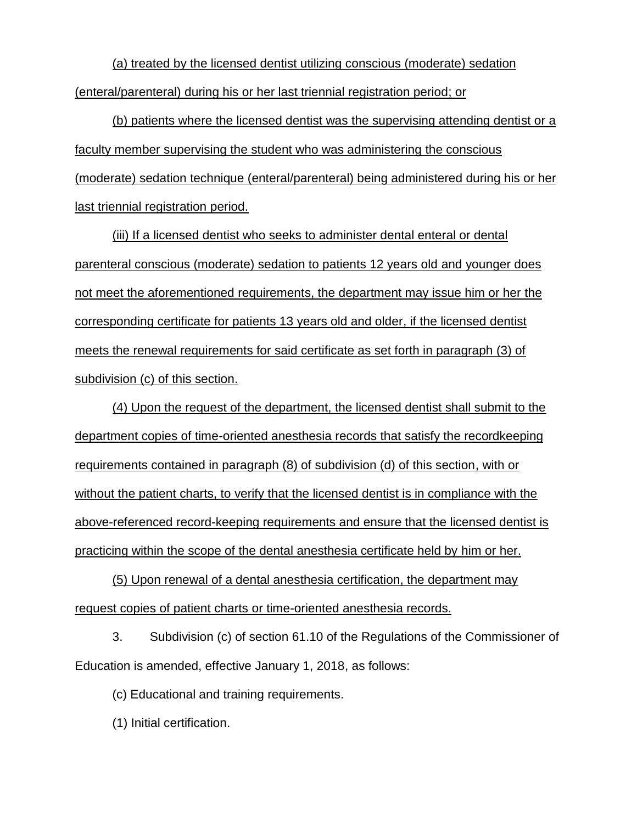(a) treated by the licensed dentist utilizing conscious (moderate) sedation (enteral/parenteral) during his or her last triennial registration period; or

(b) patients where the licensed dentist was the supervising attending dentist or a faculty member supervising the student who was administering the conscious (moderate) sedation technique (enteral/parenteral) being administered during his or her last triennial registration period.

(iii) If a licensed dentist who seeks to administer dental enteral or dental parenteral conscious (moderate) sedation to patients 12 years old and younger does not meet the aforementioned requirements, the department may issue him or her the corresponding certificate for patients 13 years old and older, if the licensed dentist meets the renewal requirements for said certificate as set forth in paragraph (3) of subdivision (c) of this section.

(4) Upon the request of the department, the licensed dentist shall submit to the department copies of time-oriented anesthesia records that satisfy the recordkeeping requirements contained in paragraph (8) of subdivision (d) of this section, with or without the patient charts, to verify that the licensed dentist is in compliance with the above-referenced record-keeping requirements and ensure that the licensed dentist is practicing within the scope of the dental anesthesia certificate held by him or her.

(5) Upon renewal of a dental anesthesia certification, the department may request copies of patient charts or time-oriented anesthesia records.

3. Subdivision (c) of section 61.10 of the Regulations of the Commissioner of Education is amended, effective January 1, 2018, as follows:

(c) Educational and training requirements.

(1) Initial certification.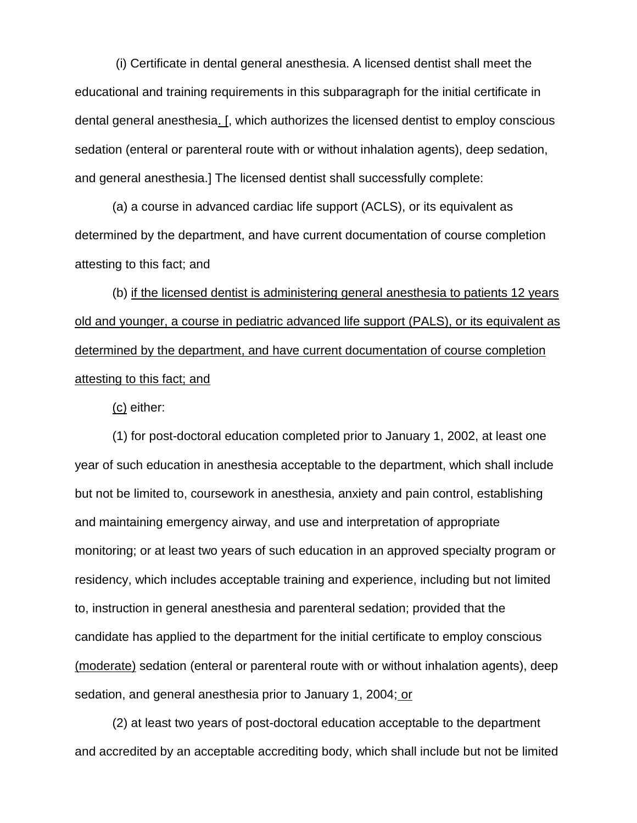(i) Certificate in dental general anesthesia. A licensed dentist shall meet the educational and training requirements in this subparagraph for the initial certificate in dental general anesthesia. [, which authorizes the licensed dentist to employ conscious sedation (enteral or parenteral route with or without inhalation agents), deep sedation, and general anesthesia.] The licensed dentist shall successfully complete:

(a) a course in advanced cardiac life support (ACLS), or its equivalent as determined by the department, and have current documentation of course completion attesting to this fact; and

(b) if the licensed dentist is administering general anesthesia to patients 12 years old and younger, a course in pediatric advanced life support (PALS), or its equivalent as determined by the department, and have current documentation of course completion attesting to this fact; and

(c) either:

(1) for post-doctoral education completed prior to January 1, 2002, at least one year of such education in anesthesia acceptable to the department, which shall include but not be limited to, coursework in anesthesia, anxiety and pain control, establishing and maintaining emergency airway, and use and interpretation of appropriate monitoring; or at least two years of such education in an approved specialty program or residency, which includes acceptable training and experience, including but not limited to, instruction in general anesthesia and parenteral sedation; provided that the candidate has applied to the department for the initial certificate to employ conscious (moderate) sedation (enteral or parenteral route with or without inhalation agents), deep sedation, and general anesthesia prior to January 1, 2004; or

(2) at least two years of post-doctoral education acceptable to the department and accredited by an acceptable accrediting body, which shall include but not be limited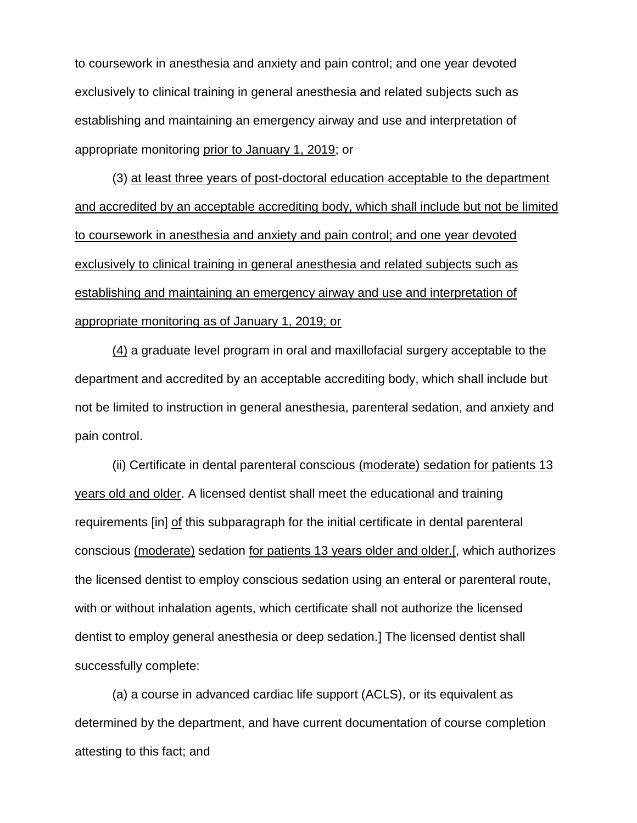to coursework in anesthesia and anxiety and pain control; and one year devoted exclusively to clinical training in general anesthesia and related subjects such as establishing and maintaining an emergency airway and use and interpretation of appropriate monitoring prior to January 1, 2019; or

(3) at least three years of post-doctoral education acceptable to the department and accredited by an acceptable accrediting body, which shall include but not be limited to coursework in anesthesia and anxiety and pain control; and one year devoted exclusively to clinical training in general anesthesia and related subjects such as establishing and maintaining an emergency airway and use and interpretation of appropriate monitoring as of January 1, 2019; or

(4) a graduate level program in oral and maxillofacial surgery acceptable to the department and accredited by an acceptable accrediting body, which shall include but not be limited to instruction in general anesthesia, parenteral sedation, and anxiety and pain control.

(ii) Certificate in dental parenteral conscious (moderate) sedation for patients 13 years old and older. A licensed dentist shall meet the educational and training requirements [in] of this subparagraph for the initial certificate in dental parenteral conscious (moderate) sedation for patients 13 years older and older.[, which authorizes the licensed dentist to employ conscious sedation using an enteral or parenteral route, with or without inhalation agents, which certificate shall not authorize the licensed dentist to employ general anesthesia or deep sedation.] The licensed dentist shall successfully complete:

(a) a course in advanced cardiac life support (ACLS), or its equivalent as determined by the department, and have current documentation of course completion attesting to this fact; and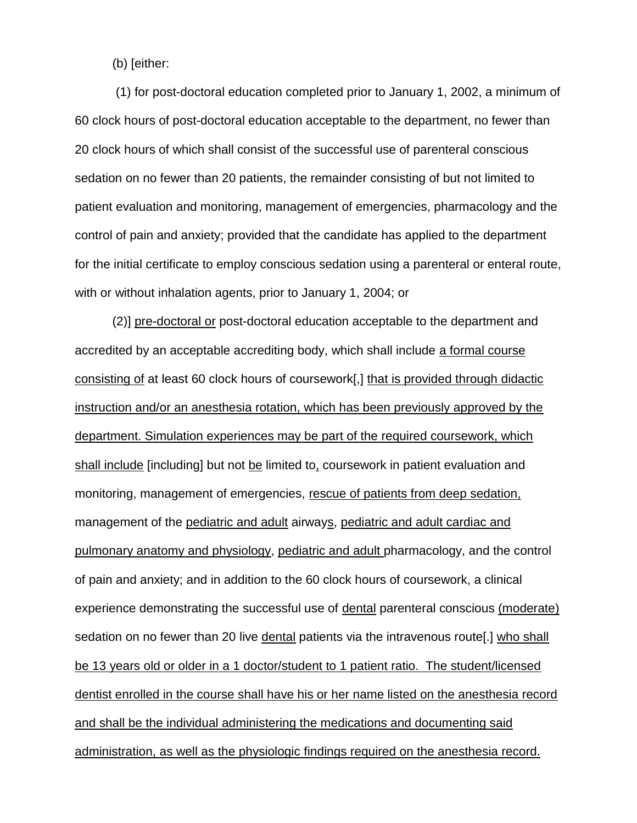(b) [either:

(1) for post-doctoral education completed prior to January 1, 2002, a minimum of 60 clock hours of post-doctoral education acceptable to the department, no fewer than 20 clock hours of which shall consist of the successful use of parenteral conscious sedation on no fewer than 20 patients, the remainder consisting of but not limited to patient evaluation and monitoring, management of emergencies, pharmacology and the control of pain and anxiety; provided that the candidate has applied to the department for the initial certificate to employ conscious sedation using a parenteral or enteral route, with or without inhalation agents, prior to January 1, 2004; or

(2)] pre-doctoral or post-doctoral education acceptable to the department and accredited by an acceptable accrediting body, which shall include a formal course consisting of at least 60 clock hours of coursework[,] that is provided through didactic instruction and/or an anesthesia rotation, which has been previously approved by the department. Simulation experiences may be part of the required coursework, which shall include [including] but not be limited to, coursework in patient evaluation and monitoring, management of emergencies, rescue of patients from deep sedation, management of the pediatric and adult airways, pediatric and adult cardiac and pulmonary anatomy and physiology, pediatric and adult pharmacology, and the control of pain and anxiety; and in addition to the 60 clock hours of coursework, a clinical experience demonstrating the successful use of dental parenteral conscious (moderate) sedation on no fewer than 20 live dental patients via the intravenous route[.] who shall be 13 years old or older in a 1 doctor/student to 1 patient ratio. The student/licensed dentist enrolled in the course shall have his or her name listed on the anesthesia record and shall be the individual administering the medications and documenting said administration, as well as the physiologic findings required on the anesthesia record.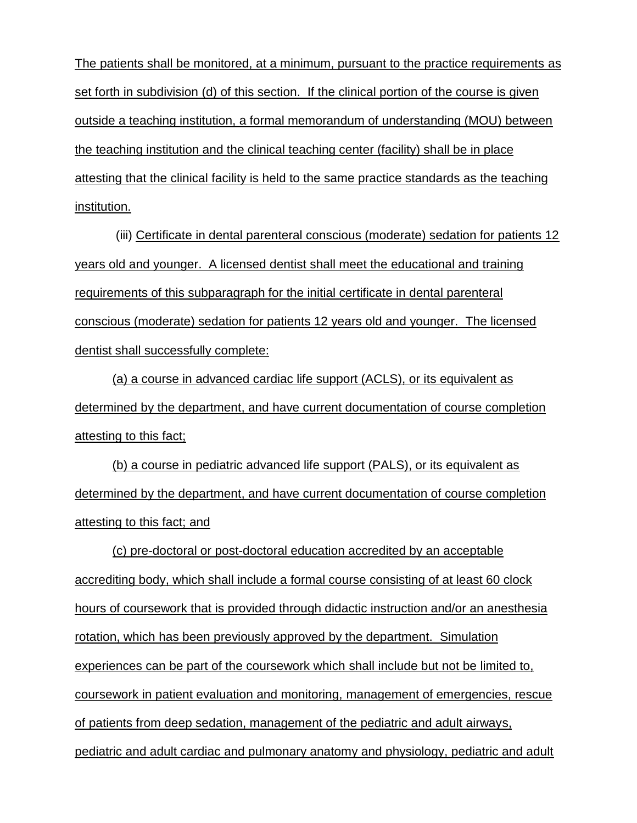The patients shall be monitored, at a minimum, pursuant to the practice requirements as set forth in subdivision (d) of this section. If the clinical portion of the course is given outside a teaching institution, a formal memorandum of understanding (MOU) between the teaching institution and the clinical teaching center (facility) shall be in place attesting that the clinical facility is held to the same practice standards as the teaching institution.

(iii) Certificate in dental parenteral conscious (moderate) sedation for patients 12 years old and younger. A licensed dentist shall meet the educational and training requirements of this subparagraph for the initial certificate in dental parenteral conscious (moderate) sedation for patients 12 years old and younger. The licensed dentist shall successfully complete:

(a) a course in advanced cardiac life support (ACLS), or its equivalent as determined by the department, and have current documentation of course completion attesting to this fact;

(b) a course in pediatric advanced life support (PALS), or its equivalent as determined by the department, and have current documentation of course completion attesting to this fact; and

(c) pre-doctoral or post-doctoral education accredited by an acceptable accrediting body, which shall include a formal course consisting of at least 60 clock hours of coursework that is provided through didactic instruction and/or an anesthesia rotation, which has been previously approved by the department. Simulation experiences can be part of the coursework which shall include but not be limited to, coursework in patient evaluation and monitoring, management of emergencies, rescue of patients from deep sedation, management of the pediatric and adult airways, pediatric and adult cardiac and pulmonary anatomy and physiology, pediatric and adult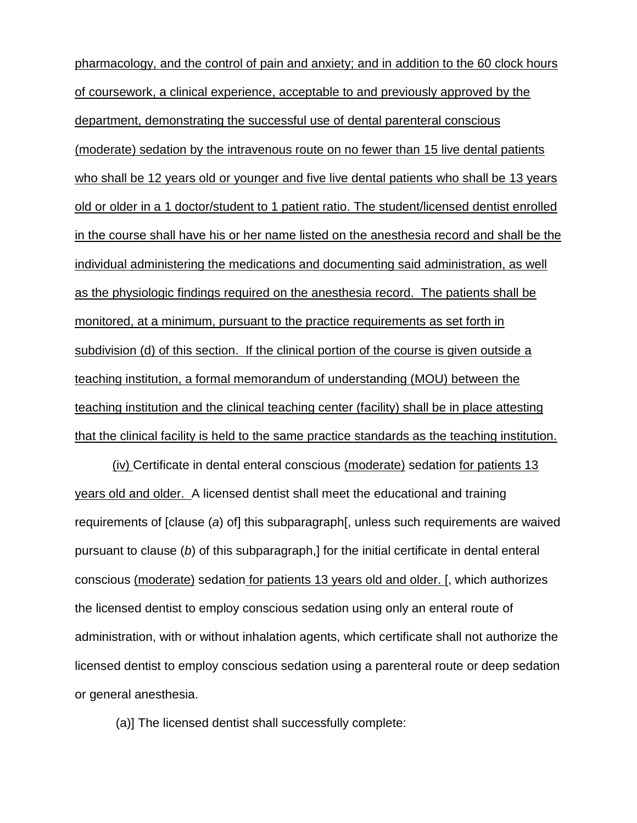pharmacology, and the control of pain and anxiety; and in addition to the 60 clock hours of coursework, a clinical experience, acceptable to and previously approved by the department, demonstrating the successful use of dental parenteral conscious (moderate) sedation by the intravenous route on no fewer than 15 live dental patients who shall be 12 years old or younger and five live dental patients who shall be 13 years old or older in a 1 doctor/student to 1 patient ratio. The student/licensed dentist enrolled in the course shall have his or her name listed on the anesthesia record and shall be the individual administering the medications and documenting said administration, as well as the physiologic findings required on the anesthesia record. The patients shall be monitored, at a minimum, pursuant to the practice requirements as set forth in subdivision (d) of this section. If the clinical portion of the course is given outside a teaching institution, a formal memorandum of understanding (MOU) between the teaching institution and the clinical teaching center (facility) shall be in place attesting that the clinical facility is held to the same practice standards as the teaching institution.

(iv) Certificate in dental enteral conscious (moderate) sedation for patients 13 years old and older. A licensed dentist shall meet the educational and training requirements of [clause (*a*) of] this subparagraph[, unless such requirements are waived pursuant to clause (*b*) of this subparagraph,] for the initial certificate in dental enteral conscious (moderate) sedation for patients 13 years old and older. [, which authorizes the licensed dentist to employ conscious sedation using only an enteral route of administration, with or without inhalation agents, which certificate shall not authorize the licensed dentist to employ conscious sedation using a parenteral route or deep sedation or general anesthesia.

(a)] The licensed dentist shall successfully complete: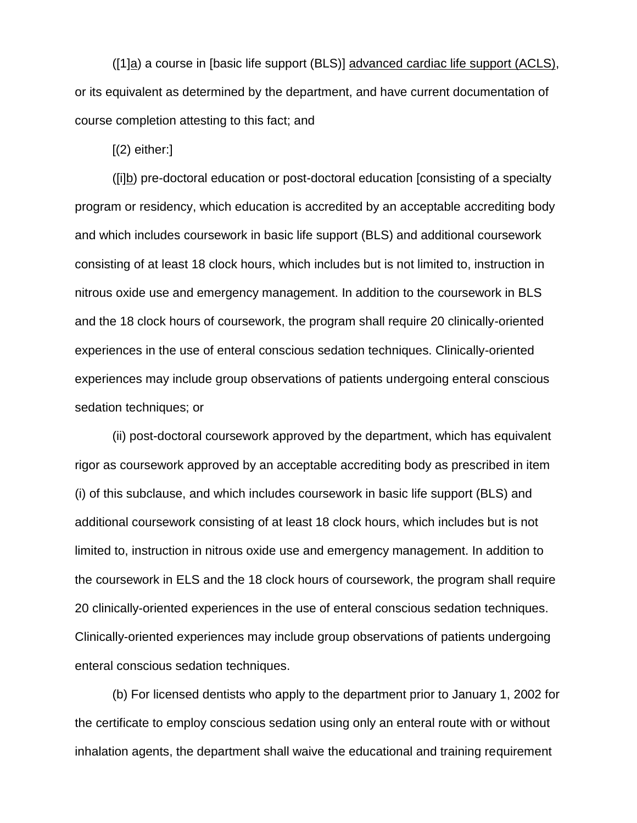([1]a) a course in [basic life support (BLS)] advanced cardiac life support (ACLS), or its equivalent as determined by the department, and have current documentation of course completion attesting to this fact; and

 $(2)$  either:

([i]b) pre-doctoral education or post-doctoral education [consisting of a specialty program or residency, which education is accredited by an acceptable accrediting body and which includes coursework in basic life support (BLS) and additional coursework consisting of at least 18 clock hours, which includes but is not limited to, instruction in nitrous oxide use and emergency management. In addition to the coursework in BLS and the 18 clock hours of coursework, the program shall require 20 clinically-oriented experiences in the use of enteral conscious sedation techniques. Clinically-oriented experiences may include group observations of patients undergoing enteral conscious sedation techniques; or

(ii) post-doctoral coursework approved by the department, which has equivalent rigor as coursework approved by an acceptable accrediting body as prescribed in item (i) of this subclause, and which includes coursework in basic life support (BLS) and additional coursework consisting of at least 18 clock hours, which includes but is not limited to, instruction in nitrous oxide use and emergency management. In addition to the coursework in ELS and the 18 clock hours of coursework, the program shall require 20 clinically-oriented experiences in the use of enteral conscious sedation techniques. Clinically-oriented experiences may include group observations of patients undergoing enteral conscious sedation techniques.

(b) For licensed dentists who apply to the department prior to January 1, 2002 for the certificate to employ conscious sedation using only an enteral route with or without inhalation agents, the department shall waive the educational and training requirement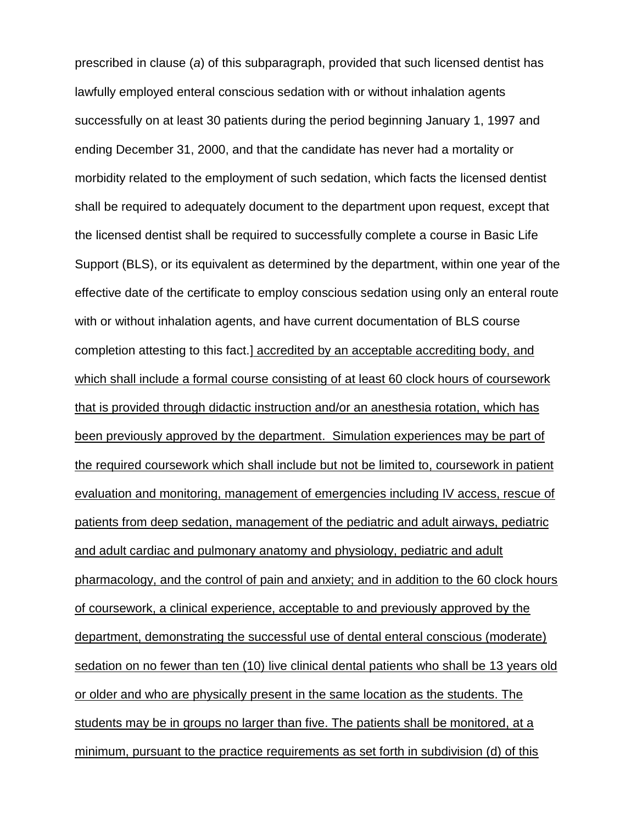prescribed in clause (*a*) of this subparagraph, provided that such licensed dentist has lawfully employed enteral conscious sedation with or without inhalation agents successfully on at least 30 patients during the period beginning January 1, 1997 and ending December 31, 2000, and that the candidate has never had a mortality or morbidity related to the employment of such sedation, which facts the licensed dentist shall be required to adequately document to the department upon request, except that the licensed dentist shall be required to successfully complete a course in Basic Life Support (BLS), or its equivalent as determined by the department, within one year of the effective date of the certificate to employ conscious sedation using only an enteral route with or without inhalation agents, and have current documentation of BLS course completion attesting to this fact.] accredited by an acceptable accrediting body, and which shall include a formal course consisting of at least 60 clock hours of coursework that is provided through didactic instruction and/or an anesthesia rotation, which has been previously approved by the department. Simulation experiences may be part of the required coursework which shall include but not be limited to, coursework in patient evaluation and monitoring, management of emergencies including IV access, rescue of patients from deep sedation, management of the pediatric and adult airways, pediatric and adult cardiac and pulmonary anatomy and physiology, pediatric and adult pharmacology, and the control of pain and anxiety; and in addition to the 60 clock hours of coursework, a clinical experience, acceptable to and previously approved by the department, demonstrating the successful use of dental enteral conscious (moderate) sedation on no fewer than ten (10) live clinical dental patients who shall be 13 years old or older and who are physically present in the same location as the students. The students may be in groups no larger than five. The patients shall be monitored, at a minimum, pursuant to the practice requirements as set forth in subdivision (d) of this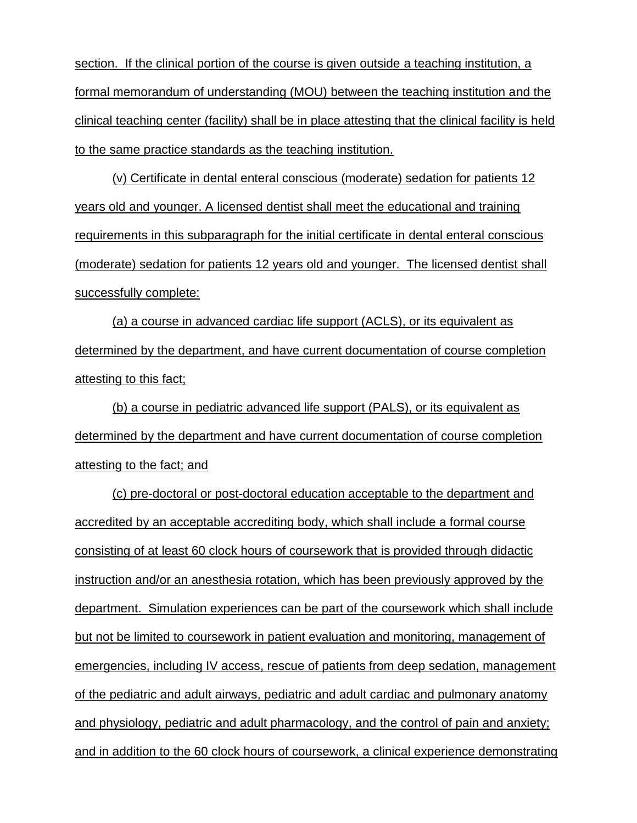section. If the clinical portion of the course is given outside a teaching institution, a formal memorandum of understanding (MOU) between the teaching institution and the clinical teaching center (facility) shall be in place attesting that the clinical facility is held to the same practice standards as the teaching institution.

(v) Certificate in dental enteral conscious (moderate) sedation for patients 12 years old and younger. A licensed dentist shall meet the educational and training requirements in this subparagraph for the initial certificate in dental enteral conscious (moderate) sedation for patients 12 years old and younger. The licensed dentist shall successfully complete:

(a) a course in advanced cardiac life support (ACLS), or its equivalent as determined by the department, and have current documentation of course completion attesting to this fact;

(b) a course in pediatric advanced life support (PALS), or its equivalent as determined by the department and have current documentation of course completion attesting to the fact; and

(c) pre-doctoral or post-doctoral education acceptable to the department and accredited by an acceptable accrediting body, which shall include a formal course consisting of at least 60 clock hours of coursework that is provided through didactic instruction and/or an anesthesia rotation, which has been previously approved by the department. Simulation experiences can be part of the coursework which shall include but not be limited to coursework in patient evaluation and monitoring, management of emergencies, including IV access, rescue of patients from deep sedation, management of the pediatric and adult airways, pediatric and adult cardiac and pulmonary anatomy and physiology, pediatric and adult pharmacology, and the control of pain and anxiety; and in addition to the 60 clock hours of coursework, a clinical experience demonstrating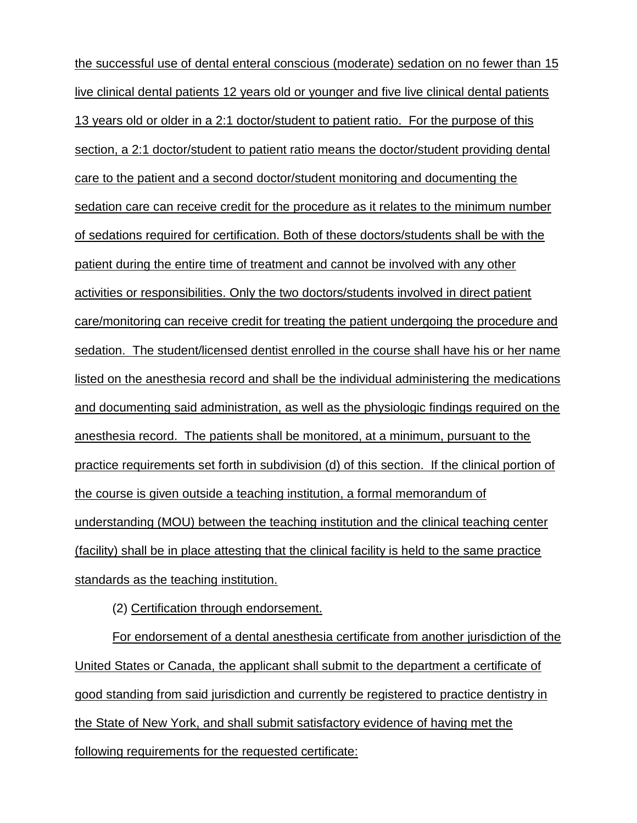the successful use of dental enteral conscious (moderate) sedation on no fewer than 15 live clinical dental patients 12 years old or younger and five live clinical dental patients 13 years old or older in a 2:1 doctor/student to patient ratio. For the purpose of this section, a 2:1 doctor/student to patient ratio means the doctor/student providing dental care to the patient and a second doctor/student monitoring and documenting the sedation care can receive credit for the procedure as it relates to the minimum number of sedations required for certification. Both of these doctors/students shall be with the patient during the entire time of treatment and cannot be involved with any other activities or responsibilities. Only the two doctors/students involved in direct patient care/monitoring can receive credit for treating the patient undergoing the procedure and sedation. The student/licensed dentist enrolled in the course shall have his or her name listed on the anesthesia record and shall be the individual administering the medications and documenting said administration, as well as the physiologic findings required on the anesthesia record. The patients shall be monitored, at a minimum, pursuant to the practice requirements set forth in subdivision (d) of this section. If the clinical portion of the course is given outside a teaching institution, a formal memorandum of understanding (MOU) between the teaching institution and the clinical teaching center (facility) shall be in place attesting that the clinical facility is held to the same practice standards as the teaching institution.

(2) Certification through endorsement.

For endorsement of a dental anesthesia certificate from another jurisdiction of the United States or Canada, the applicant shall submit to the department a certificate of good standing from said jurisdiction and currently be registered to practice dentistry in the State of New York, and shall submit satisfactory evidence of having met the following requirements for the requested certificate: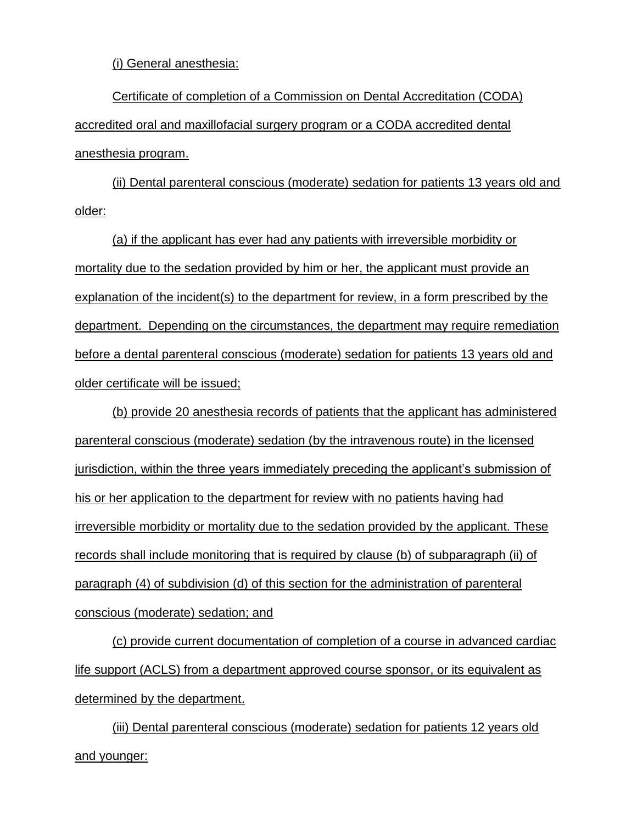(i) General anesthesia:

Certificate of completion of a Commission on Dental Accreditation (CODA) accredited oral and maxillofacial surgery program or a CODA accredited dental anesthesia program.

(ii) Dental parenteral conscious (moderate) sedation for patients 13 years old and older:

(a) if the applicant has ever had any patients with irreversible morbidity or mortality due to the sedation provided by him or her, the applicant must provide an explanation of the incident(s) to the department for review, in a form prescribed by the department. Depending on the circumstances, the department may require remediation before a dental parenteral conscious (moderate) sedation for patients 13 years old and older certificate will be issued;

(b) provide 20 anesthesia records of patients that the applicant has administered parenteral conscious (moderate) sedation (by the intravenous route) in the licensed jurisdiction, within the three years immediately preceding the applicant's submission of his or her application to the department for review with no patients having had irreversible morbidity or mortality due to the sedation provided by the applicant. These records shall include monitoring that is required by clause (b) of subparagraph (ii) of paragraph (4) of subdivision (d) of this section for the administration of parenteral conscious (moderate) sedation; and

(c) provide current documentation of completion of a course in advanced cardiac life support (ACLS) from a department approved course sponsor, or its equivalent as determined by the department.

(iii) Dental parenteral conscious (moderate) sedation for patients 12 years old and younger: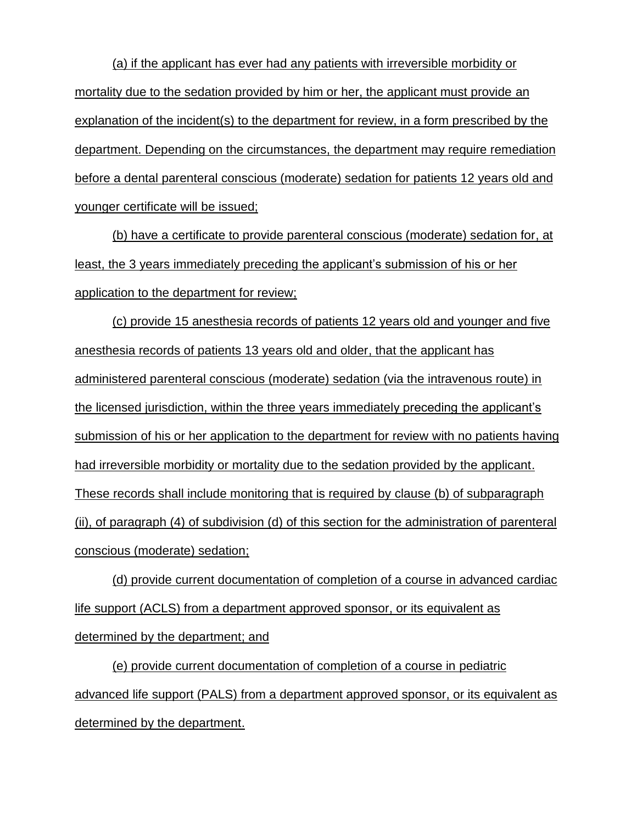(a) if the applicant has ever had any patients with irreversible morbidity or mortality due to the sedation provided by him or her, the applicant must provide an explanation of the incident(s) to the department for review, in a form prescribed by the department. Depending on the circumstances, the department may require remediation before a dental parenteral conscious (moderate) sedation for patients 12 years old and younger certificate will be issued;

(b) have a certificate to provide parenteral conscious (moderate) sedation for, at least, the 3 years immediately preceding the applicant's submission of his or her application to the department for review;

(c) provide 15 anesthesia records of patients 12 years old and younger and five anesthesia records of patients 13 years old and older, that the applicant has administered parenteral conscious (moderate) sedation (via the intravenous route) in the licensed jurisdiction, within the three years immediately preceding the applicant's submission of his or her application to the department for review with no patients having had irreversible morbidity or mortality due to the sedation provided by the applicant. These records shall include monitoring that is required by clause (b) of subparagraph (ii), of paragraph (4) of subdivision (d) of this section for the administration of parenteral conscious (moderate) sedation;

(d) provide current documentation of completion of a course in advanced cardiac life support (ACLS) from a department approved sponsor, or its equivalent as determined by the department; and

(e) provide current documentation of completion of a course in pediatric advanced life support (PALS) from a department approved sponsor, or its equivalent as determined by the department.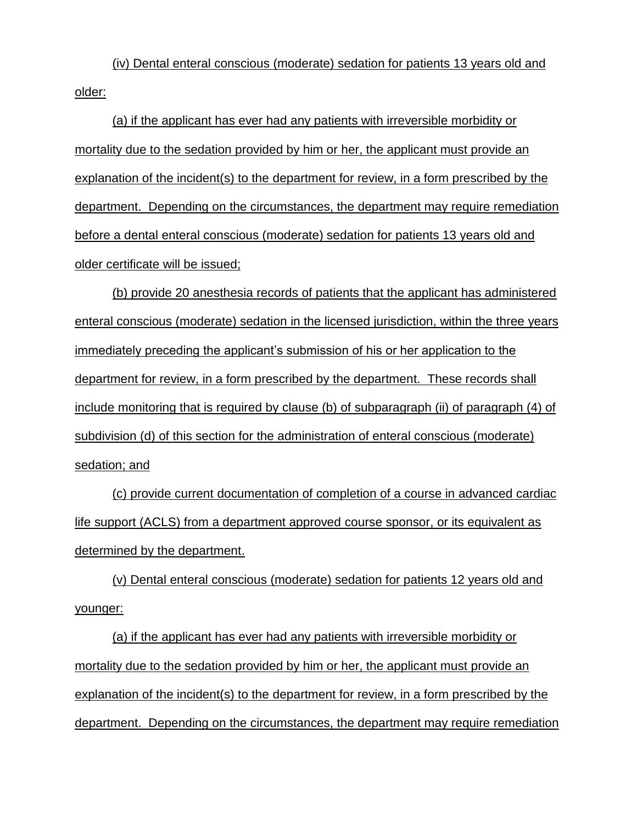(iv) Dental enteral conscious (moderate) sedation for patients 13 years old and older:

(a) if the applicant has ever had any patients with irreversible morbidity or mortality due to the sedation provided by him or her, the applicant must provide an explanation of the incident(s) to the department for review, in a form prescribed by the department. Depending on the circumstances, the department may require remediation before a dental enteral conscious (moderate) sedation for patients 13 years old and older certificate will be issued;

(b) provide 20 anesthesia records of patients that the applicant has administered enteral conscious (moderate) sedation in the licensed jurisdiction, within the three years immediately preceding the applicant's submission of his or her application to the department for review, in a form prescribed by the department. These records shall include monitoring that is required by clause (b) of subparagraph (ii) of paragraph (4) of subdivision (d) of this section for the administration of enteral conscious (moderate) sedation; and

(c) provide current documentation of completion of a course in advanced cardiac life support (ACLS) from a department approved course sponsor, or its equivalent as determined by the department.

(v) Dental enteral conscious (moderate) sedation for patients 12 years old and younger:

(a) if the applicant has ever had any patients with irreversible morbidity or mortality due to the sedation provided by him or her, the applicant must provide an explanation of the incident(s) to the department for review, in a form prescribed by the department. Depending on the circumstances, the department may require remediation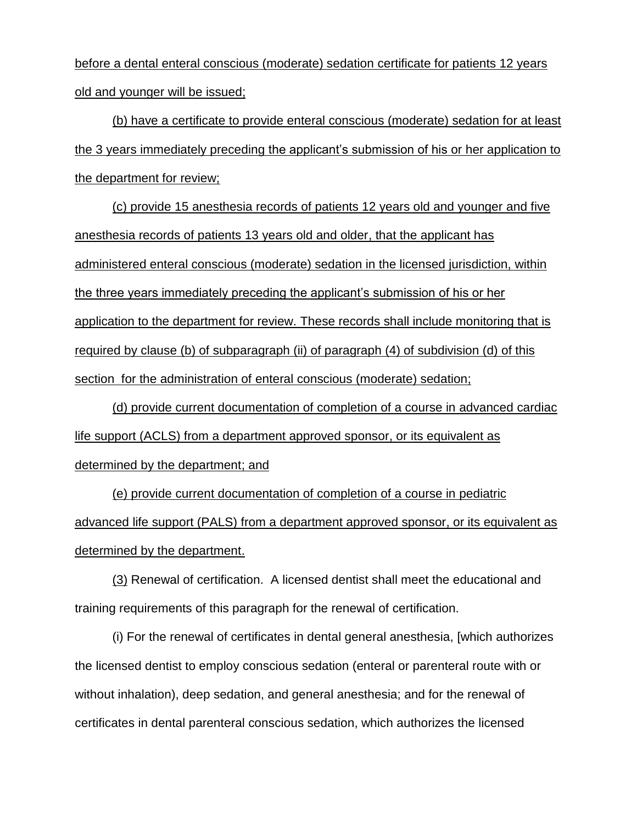before a dental enteral conscious (moderate) sedation certificate for patients 12 years old and younger will be issued;

(b) have a certificate to provide enteral conscious (moderate) sedation for at least the 3 years immediately preceding the applicant's submission of his or her application to the department for review;

(c) provide 15 anesthesia records of patients 12 years old and younger and five anesthesia records of patients 13 years old and older, that the applicant has administered enteral conscious (moderate) sedation in the licensed jurisdiction, within the three years immediately preceding the applicant's submission of his or her application to the department for review. These records shall include monitoring that is required by clause (b) of subparagraph (ii) of paragraph (4) of subdivision (d) of this section for the administration of enteral conscious (moderate) sedation;

(d) provide current documentation of completion of a course in advanced cardiac life support (ACLS) from a department approved sponsor, or its equivalent as determined by the department; and

(e) provide current documentation of completion of a course in pediatric advanced life support (PALS) from a department approved sponsor, or its equivalent as determined by the department.

(3) Renewal of certification. A licensed dentist shall meet the educational and training requirements of this paragraph for the renewal of certification.

(i) For the renewal of certificates in dental general anesthesia, [which authorizes the licensed dentist to employ conscious sedation (enteral or parenteral route with or without inhalation), deep sedation, and general anesthesia; and for the renewal of certificates in dental parenteral conscious sedation, which authorizes the licensed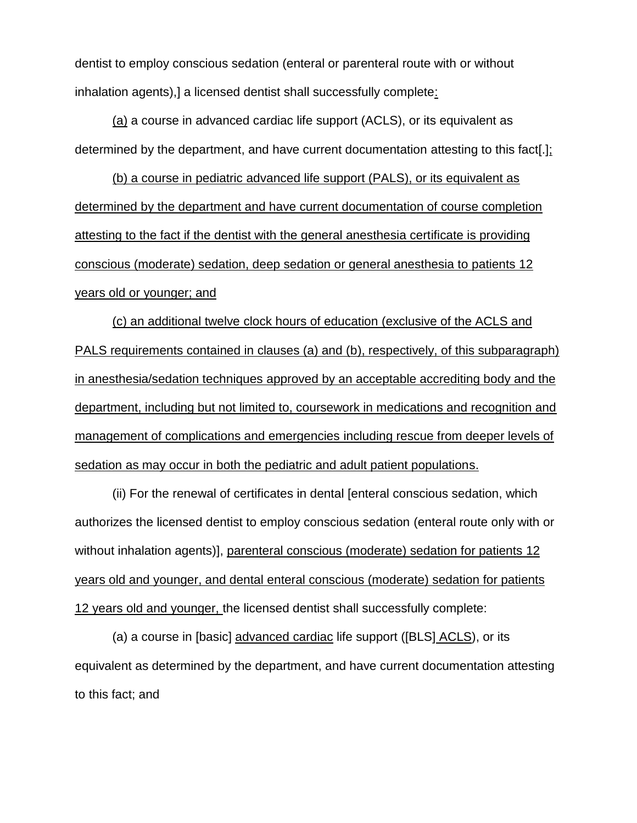dentist to employ conscious sedation (enteral or parenteral route with or without inhalation agents),] a licensed dentist shall successfully complete:

(a) a course in advanced cardiac life support (ACLS), or its equivalent as determined by the department, and have current documentation attesting to this fact[.];

(b) a course in pediatric advanced life support (PALS), or its equivalent as determined by the department and have current documentation of course completion attesting to the fact if the dentist with the general anesthesia certificate is providing conscious (moderate) sedation, deep sedation or general anesthesia to patients 12 years old or younger; and

(c) an additional twelve clock hours of education (exclusive of the ACLS and PALS requirements contained in clauses (a) and (b), respectively, of this subparagraph) in anesthesia/sedation techniques approved by an acceptable accrediting body and the department, including but not limited to, coursework in medications and recognition and management of complications and emergencies including rescue from deeper levels of sedation as may occur in both the pediatric and adult patient populations.

(ii) For the renewal of certificates in dental [enteral conscious sedation, which authorizes the licensed dentist to employ conscious sedation (enteral route only with or without inhalation agents)], parenteral conscious (moderate) sedation for patients 12 years old and younger, and dental enteral conscious (moderate) sedation for patients 12 years old and younger, the licensed dentist shall successfully complete:

(a) a course in [basic] advanced cardiac life support ([BLS] ACLS), or its equivalent as determined by the department, and have current documentation attesting to this fact; and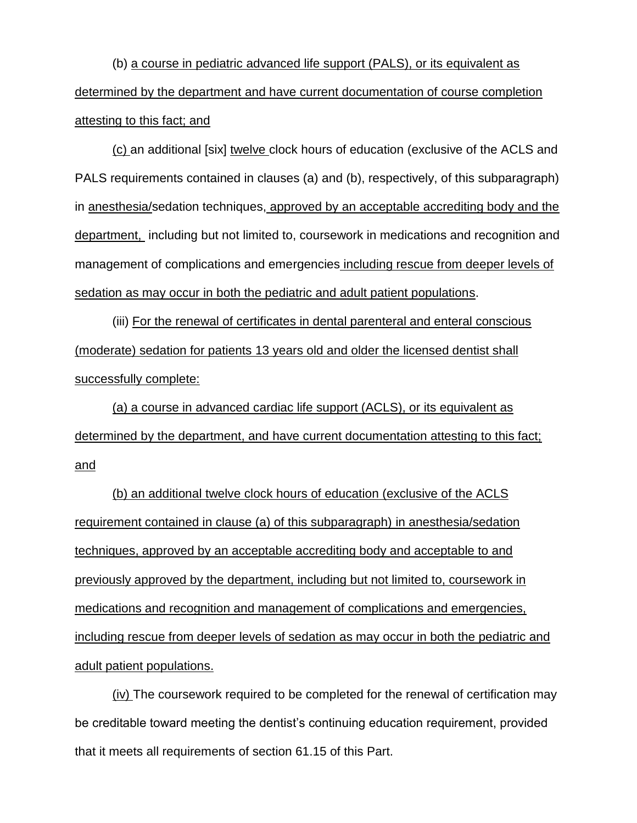(b) a course in pediatric advanced life support (PALS), or its equivalent as determined by the department and have current documentation of course completion attesting to this fact; and

(c) an additional [six] twelve clock hours of education (exclusive of the ACLS and PALS requirements contained in clauses (a) and (b), respectively, of this subparagraph) in anesthesia/sedation techniques, approved by an acceptable accrediting body and the department, including but not limited to, coursework in medications and recognition and management of complications and emergencies including rescue from deeper levels of sedation as may occur in both the pediatric and adult patient populations.

(iii) For the renewal of certificates in dental parenteral and enteral conscious (moderate) sedation for patients 13 years old and older the licensed dentist shall successfully complete:

(a) a course in advanced cardiac life support (ACLS), or its equivalent as determined by the department, and have current documentation attesting to this fact; and

(b) an additional twelve clock hours of education (exclusive of the ACLS requirement contained in clause (a) of this subparagraph) in anesthesia/sedation techniques, approved by an acceptable accrediting body and acceptable to and previously approved by the department, including but not limited to, coursework in medications and recognition and management of complications and emergencies, including rescue from deeper levels of sedation as may occur in both the pediatric and adult patient populations.

(iv) The coursework required to be completed for the renewal of certification may be creditable toward meeting the dentist's continuing education requirement, provided that it meets all requirements of section 61.15 of this Part.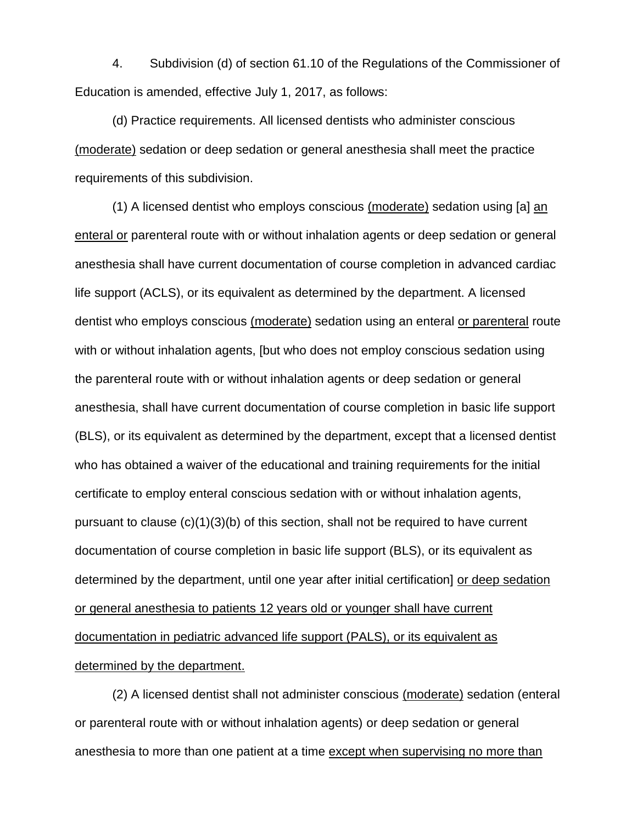4. Subdivision (d) of section 61.10 of the Regulations of the Commissioner of Education is amended, effective July 1, 2017, as follows:

(d) Practice requirements. All licensed dentists who administer conscious (moderate) sedation or deep sedation or general anesthesia shall meet the practice requirements of this subdivision.

(1) A licensed dentist who employs conscious (moderate) sedation using [a] an enteral or parenteral route with or without inhalation agents or deep sedation or general anesthesia shall have current documentation of course completion in advanced cardiac life support (ACLS), or its equivalent as determined by the department. A licensed dentist who employs conscious (moderate) sedation using an enteral or parenteral route with or without inhalation agents, [but who does not employ conscious sedation using the parenteral route with or without inhalation agents or deep sedation or general anesthesia, shall have current documentation of course completion in basic life support (BLS), or its equivalent as determined by the department, except that a licensed dentist who has obtained a waiver of the educational and training requirements for the initial certificate to employ enteral conscious sedation with or without inhalation agents, pursuant to clause (c)(1)(3)(b) of this section, shall not be required to have current documentation of course completion in basic life support (BLS), or its equivalent as determined by the department, until one year after initial certification] or deep sedation or general anesthesia to patients 12 years old or younger shall have current documentation in pediatric advanced life support (PALS), or its equivalent as determined by the department.

(2) A licensed dentist shall not administer conscious (moderate) sedation (enteral or parenteral route with or without inhalation agents) or deep sedation or general anesthesia to more than one patient at a time except when supervising no more than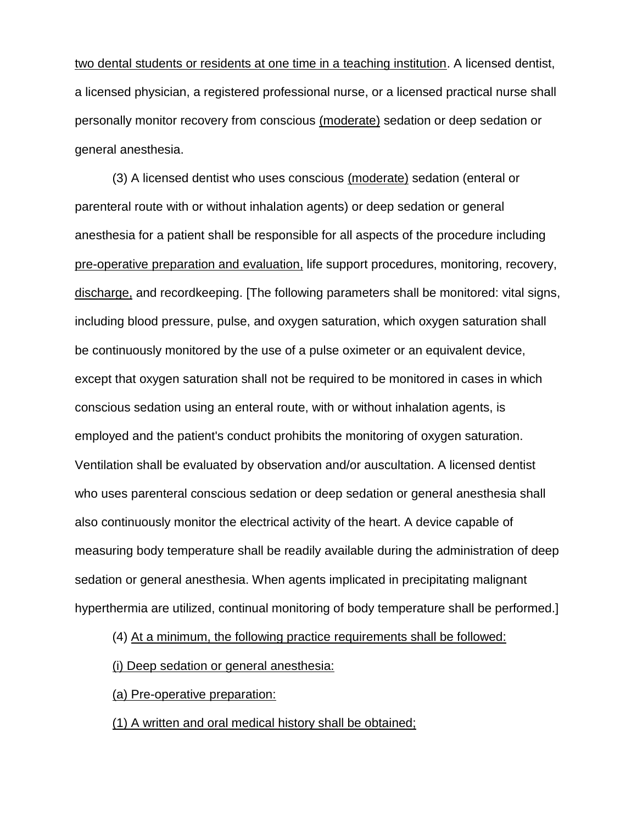two dental students or residents at one time in a teaching institution. A licensed dentist, a licensed physician, a registered professional nurse, or a licensed practical nurse shall personally monitor recovery from conscious (moderate) sedation or deep sedation or general anesthesia.

(3) A licensed dentist who uses conscious (moderate) sedation (enteral or parenteral route with or without inhalation agents) or deep sedation or general anesthesia for a patient shall be responsible for all aspects of the procedure including pre-operative preparation and evaluation, life support procedures, monitoring, recovery, discharge, and recordkeeping. [The following parameters shall be monitored: vital signs, including blood pressure, pulse, and oxygen saturation, which oxygen saturation shall be continuously monitored by the use of a pulse oximeter or an equivalent device, except that oxygen saturation shall not be required to be monitored in cases in which conscious sedation using an enteral route, with or without inhalation agents, is employed and the patient's conduct prohibits the monitoring of oxygen saturation. Ventilation shall be evaluated by observation and/or auscultation. A licensed dentist who uses parenteral conscious sedation or deep sedation or general anesthesia shall also continuously monitor the electrical activity of the heart. A device capable of measuring body temperature shall be readily available during the administration of deep sedation or general anesthesia. When agents implicated in precipitating malignant hyperthermia are utilized, continual monitoring of body temperature shall be performed.]

(4) At a minimum, the following practice requirements shall be followed:

(i) Deep sedation or general anesthesia:

(a) Pre-operative preparation:

(1) A written and oral medical history shall be obtained;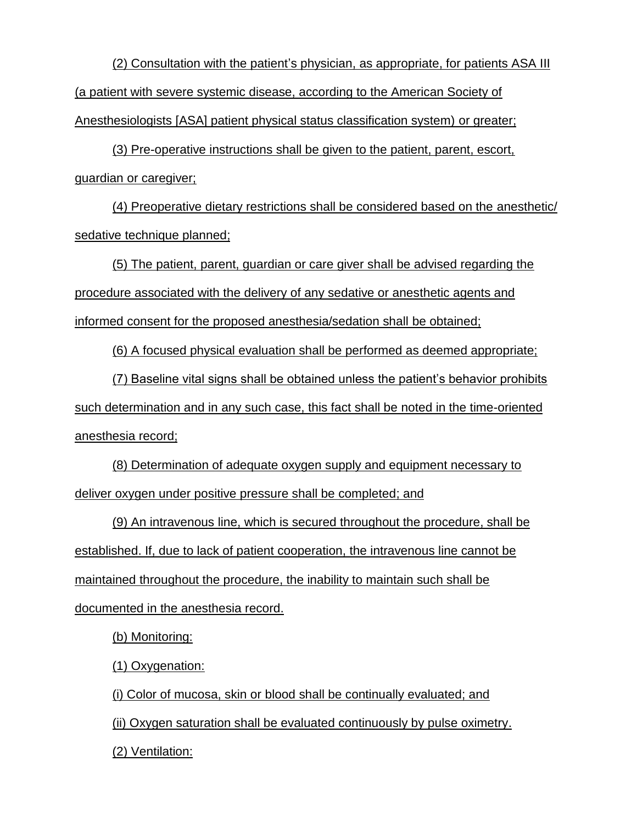(2) Consultation with the patient's physician, as appropriate, for patients ASA III (a patient with severe systemic disease, according to the American Society of Anesthesiologists [ASA] patient physical status classification system) or greater;

(3) Pre-operative instructions shall be given to the patient, parent, escort, guardian or caregiver;

(4) Preoperative dietary restrictions shall be considered based on the anesthetic/ sedative technique planned;

(5) The patient, parent, guardian or care giver shall be advised regarding the procedure associated with the delivery of any sedative or anesthetic agents and informed consent for the proposed anesthesia/sedation shall be obtained;

(6) A focused physical evaluation shall be performed as deemed appropriate;

(7) Baseline vital signs shall be obtained unless the patient's behavior prohibits such determination and in any such case, this fact shall be noted in the time-oriented anesthesia record;

(8) Determination of adequate oxygen supply and equipment necessary to deliver oxygen under positive pressure shall be completed; and

(9) An intravenous line, which is secured throughout the procedure, shall be established. If, due to lack of patient cooperation, the intravenous line cannot be maintained throughout the procedure, the inability to maintain such shall be documented in the anesthesia record.

(b) Monitoring:

(1) Oxygenation:

(i) Color of mucosa, skin or blood shall be continually evaluated; and

(ii) Oxygen saturation shall be evaluated continuously by pulse oximetry.

(2) Ventilation: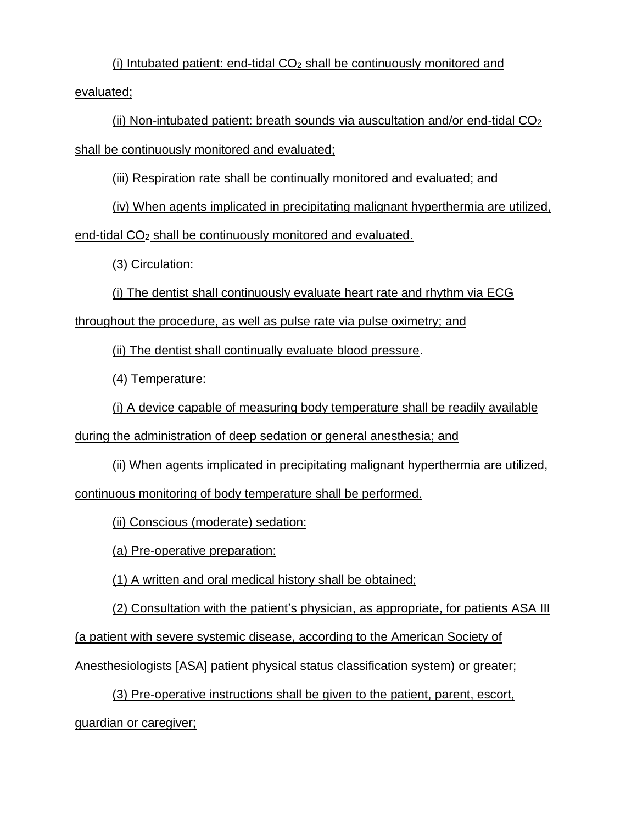(i) Intubated patient: end-tidal  $CO<sub>2</sub>$  shall be continuously monitored and evaluated;

(ii) Non-intubated patient: breath sounds via auscultation and/or end-tidal  $CO<sub>2</sub>$ shall be continuously monitored and evaluated;

(iii) Respiration rate shall be continually monitored and evaluated; and

(iv) When agents implicated in precipitating malignant hyperthermia are utilized,

end-tidal CO<sup>2</sup> shall be continuously monitored and evaluated.

(3) Circulation:

(i) The dentist shall continuously evaluate heart rate and rhythm via ECG

throughout the procedure, as well as pulse rate via pulse oximetry; and

(ii) The dentist shall continually evaluate blood pressure.

(4) Temperature:

(i) A device capable of measuring body temperature shall be readily available

during the administration of deep sedation or general anesthesia; and

(ii) When agents implicated in precipitating malignant hyperthermia are utilized,

continuous monitoring of body temperature shall be performed.

(ii) Conscious (moderate) sedation:

(a) Pre-operative preparation:

(1) A written and oral medical history shall be obtained;

(2) Consultation with the patient's physician, as appropriate, for patients ASA III

(a patient with severe systemic disease, according to the American Society of

Anesthesiologists [ASA] patient physical status classification system) or greater;

(3) Pre-operative instructions shall be given to the patient, parent, escort, guardian or caregiver;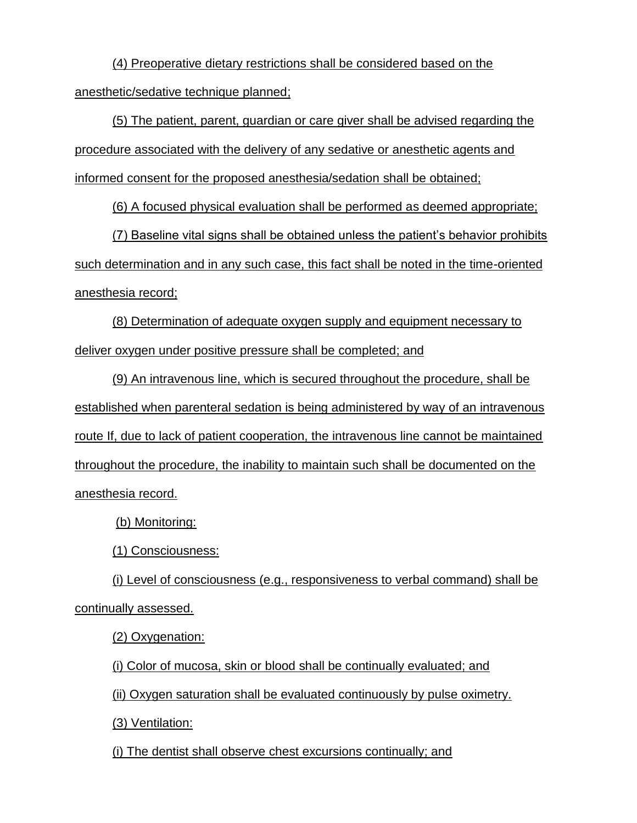(4) Preoperative dietary restrictions shall be considered based on the anesthetic/sedative technique planned;

(5) The patient, parent, guardian or care giver shall be advised regarding the procedure associated with the delivery of any sedative or anesthetic agents and informed consent for the proposed anesthesia/sedation shall be obtained;

(6) A focused physical evaluation shall be performed as deemed appropriate;

(7) Baseline vital signs shall be obtained unless the patient's behavior prohibits such determination and in any such case, this fact shall be noted in the time-oriented anesthesia record;

(8) Determination of adequate oxygen supply and equipment necessary to deliver oxygen under positive pressure shall be completed; and

(9) An intravenous line, which is secured throughout the procedure, shall be established when parenteral sedation is being administered by way of an intravenous route If, due to lack of patient cooperation, the intravenous line cannot be maintained throughout the procedure, the inability to maintain such shall be documented on the anesthesia record.

(b) Monitoring:

(1) Consciousness:

(i) Level of consciousness (e.g., responsiveness to verbal command) shall be continually assessed.

(2) Oxygenation:

(i) Color of mucosa, skin or blood shall be continually evaluated; and

(ii) Oxygen saturation shall be evaluated continuously by pulse oximetry.

(3) Ventilation:

(i) The dentist shall observe chest excursions continually; and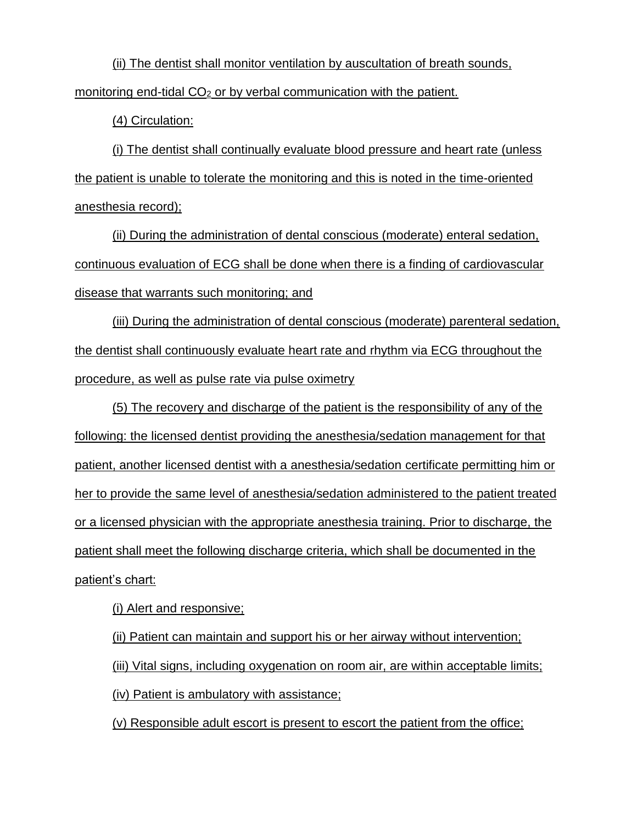(ii) The dentist shall monitor ventilation by auscultation of breath sounds, monitoring end-tidal CO<sub>2</sub> or by verbal communication with the patient.

(4) Circulation:

(i) The dentist shall continually evaluate blood pressure and heart rate (unless the patient is unable to tolerate the monitoring and this is noted in the time-oriented anesthesia record);

(ii) During the administration of dental conscious (moderate) enteral sedation, continuous evaluation of ECG shall be done when there is a finding of cardiovascular disease that warrants such monitoring; and

(iii) During the administration of dental conscious (moderate) parenteral sedation, the dentist shall continuously evaluate heart rate and rhythm via ECG throughout the procedure, as well as pulse rate via pulse oximetry

(5) The recovery and discharge of the patient is the responsibility of any of the following: the licensed dentist providing the anesthesia/sedation management for that patient, another licensed dentist with a anesthesia/sedation certificate permitting him or her to provide the same level of anesthesia/sedation administered to the patient treated or a licensed physician with the appropriate anesthesia training. Prior to discharge, the patient shall meet the following discharge criteria, which shall be documented in the patient's chart:

(i) Alert and responsive;

(ii) Patient can maintain and support his or her airway without intervention; (iii) Vital signs, including oxygenation on room air, are within acceptable limits; (iv) Patient is ambulatory with assistance;

(v) Responsible adult escort is present to escort the patient from the office;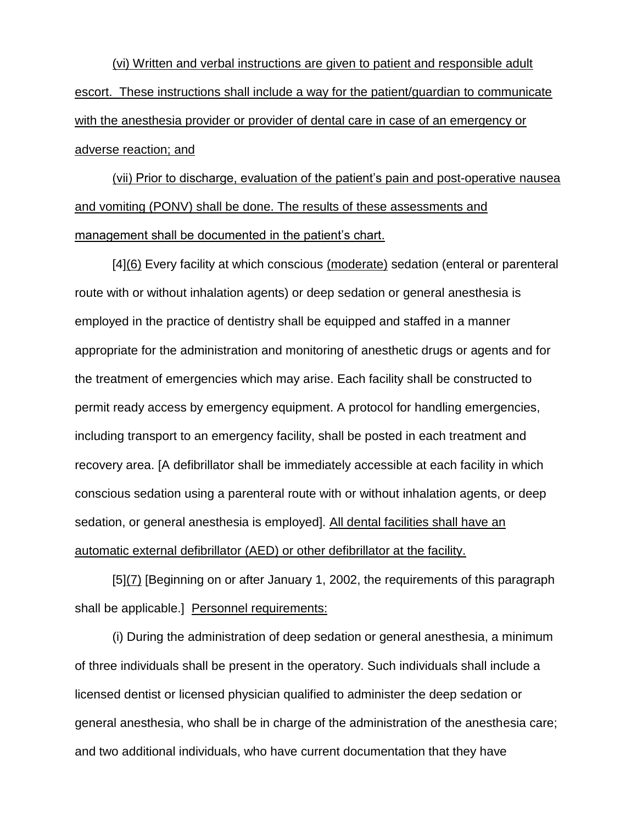(vi) Written and verbal instructions are given to patient and responsible adult escort. These instructions shall include a way for the patient/guardian to communicate with the anesthesia provider or provider of dental care in case of an emergency or adverse reaction; and

(vii) Prior to discharge, evaluation of the patient's pain and post-operative nausea and vomiting (PONV) shall be done. The results of these assessments and management shall be documented in the patient's chart.

[4](6) Every facility at which conscious (moderate) sedation (enteral or parenteral route with or without inhalation agents) or deep sedation or general anesthesia is employed in the practice of dentistry shall be equipped and staffed in a manner appropriate for the administration and monitoring of anesthetic drugs or agents and for the treatment of emergencies which may arise. Each facility shall be constructed to permit ready access by emergency equipment. A protocol for handling emergencies, including transport to an emergency facility, shall be posted in each treatment and recovery area. [A defibrillator shall be immediately accessible at each facility in which conscious sedation using a parenteral route with or without inhalation agents, or deep sedation, or general anesthesia is employed]. All dental facilities shall have an automatic external defibrillator (AED) or other defibrillator at the facility.

[5](7) [Beginning on or after January 1, 2002, the requirements of this paragraph shall be applicable.] Personnel requirements:

(i) During the administration of deep sedation or general anesthesia, a minimum of three individuals shall be present in the operatory. Such individuals shall include a licensed dentist or licensed physician qualified to administer the deep sedation or general anesthesia, who shall be in charge of the administration of the anesthesia care; and two additional individuals, who have current documentation that they have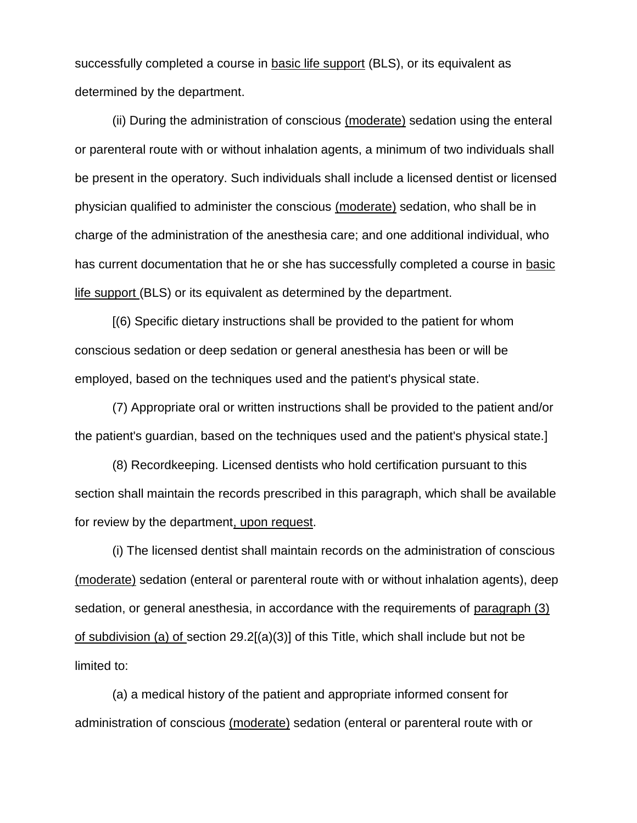successfully completed a course in basic life support (BLS), or its equivalent as determined by the department.

(ii) During the administration of conscious (moderate) sedation using the enteral or parenteral route with or without inhalation agents, a minimum of two individuals shall be present in the operatory. Such individuals shall include a licensed dentist or licensed physician qualified to administer the conscious (moderate) sedation, who shall be in charge of the administration of the anesthesia care; and one additional individual, who has current documentation that he or she has successfully completed a course in basic life support (BLS) or its equivalent as determined by the department.

[(6) Specific dietary instructions shall be provided to the patient for whom conscious sedation or deep sedation or general anesthesia has been or will be employed, based on the techniques used and the patient's physical state.

(7) Appropriate oral or written instructions shall be provided to the patient and/or the patient's guardian, based on the techniques used and the patient's physical state.]

(8) Recordkeeping. Licensed dentists who hold certification pursuant to this section shall maintain the records prescribed in this paragraph, which shall be available for review by the department, upon request.

(i) The licensed dentist shall maintain records on the administration of conscious (moderate) sedation (enteral or parenteral route with or without inhalation agents), deep sedation, or general anesthesia, in accordance with the requirements of paragraph (3) of subdivision (a) of section 29.2[(a)(3)] of this Title, which shall include but not be limited to:

(a) a medical history of the patient and appropriate informed consent for administration of conscious (moderate) sedation (enteral or parenteral route with or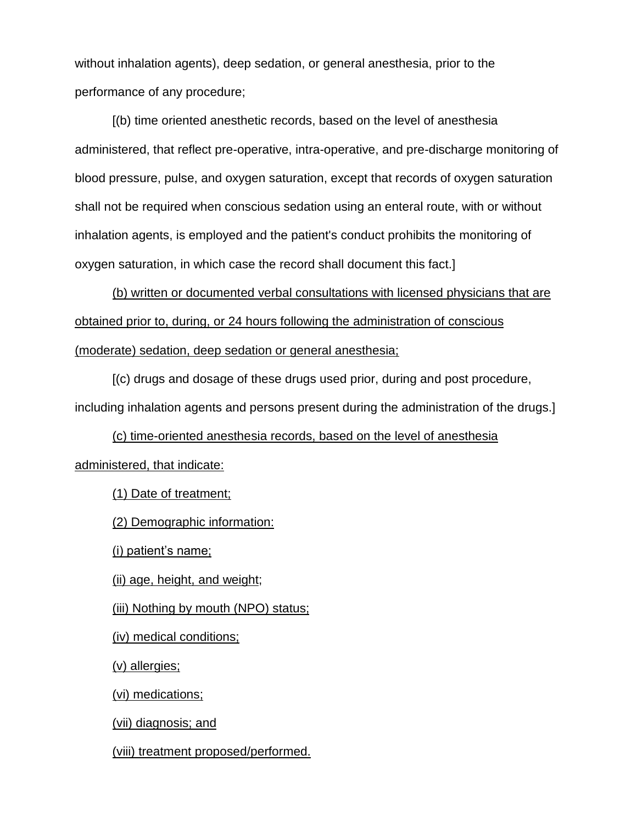without inhalation agents), deep sedation, or general anesthesia, prior to the performance of any procedure;

[(b) time oriented anesthetic records, based on the level of anesthesia administered, that reflect pre-operative, intra-operative, and pre-discharge monitoring of blood pressure, pulse, and oxygen saturation, except that records of oxygen saturation shall not be required when conscious sedation using an enteral route, with or without inhalation agents, is employed and the patient's conduct prohibits the monitoring of oxygen saturation, in which case the record shall document this fact.]

(b) written or documented verbal consultations with licensed physicians that are obtained prior to, during, or 24 hours following the administration of conscious (moderate) sedation, deep sedation or general anesthesia;

[(c) drugs and dosage of these drugs used prior, during and post procedure, including inhalation agents and persons present during the administration of the drugs.]

(c) time-oriented anesthesia records, based on the level of anesthesia administered, that indicate:

(1) Date of treatment;

(2) Demographic information:

(i) patient's name;

(ii) age, height, and weight;

(iii) Nothing by mouth (NPO) status;

(iv) medical conditions;

(v) allergies;

(vi) medications;

(vii) diagnosis; and

(viii) treatment proposed/performed.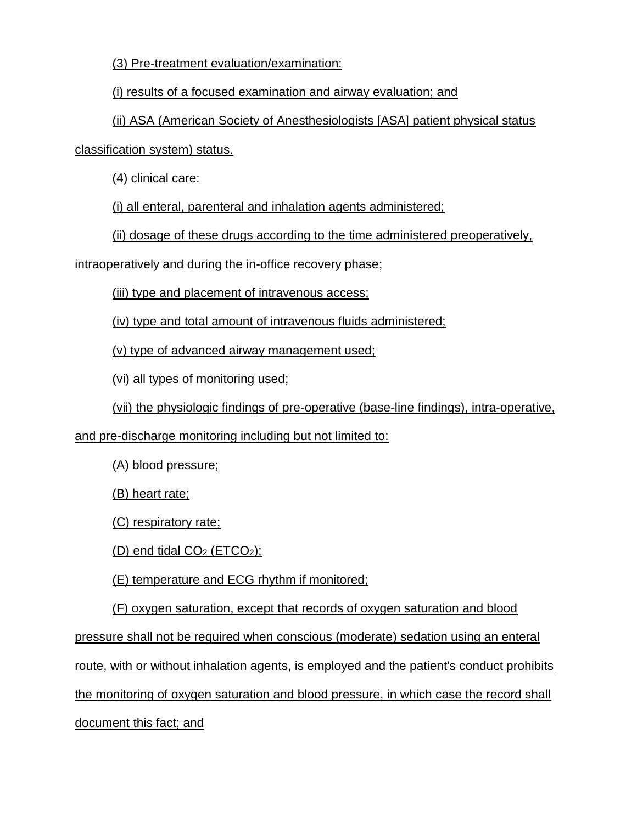(3) Pre-treatment evaluation/examination:

(i) results of a focused examination and airway evaluation; and

(ii) ASA (American Society of Anesthesiologists [ASA] patient physical status classification system) status.

(4) clinical care:

(i) all enteral, parenteral and inhalation agents administered;

(ii) dosage of these drugs according to the time administered preoperatively,

intraoperatively and during the in-office recovery phase;

(iii) type and placement of intravenous access;

(iv) type and total amount of intravenous fluids administered;

(v) type of advanced airway management used;

(vi) all types of monitoring used;

(vii) the physiologic findings of pre-operative (base-line findings), intra-operative,

and pre-discharge monitoring including but not limited to:

(A) blood pressure;

(B) heart rate;

(C) respiratory rate;

(D) end tidal  $CO<sub>2</sub>$  (ETCO<sub>2</sub>);

(E) temperature and ECG rhythm if monitored;

(F) oxygen saturation, except that records of oxygen saturation and blood

pressure shall not be required when conscious (moderate) sedation using an enteral

route, with or without inhalation agents, is employed and the patient's conduct prohibits

the monitoring of oxygen saturation and blood pressure, in which case the record shall

document this fact; and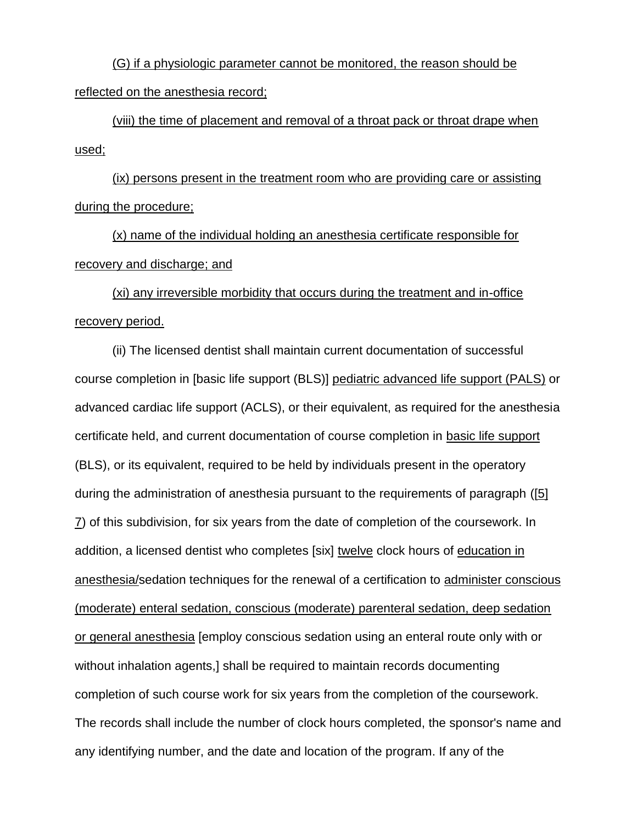(G) if a physiologic parameter cannot be monitored, the reason should be reflected on the anesthesia record;

(viii) the time of placement and removal of a throat pack or throat drape when used;

(ix) persons present in the treatment room who are providing care or assisting during the procedure;

(x) name of the individual holding an anesthesia certificate responsible for recovery and discharge; and

(xi) any irreversible morbidity that occurs during the treatment and in-office recovery period.

(ii) The licensed dentist shall maintain current documentation of successful course completion in [basic life support (BLS)] pediatric advanced life support (PALS) or advanced cardiac life support (ACLS), or their equivalent, as required for the anesthesia certificate held, and current documentation of course completion in basic life support (BLS), or its equivalent, required to be held by individuals present in the operatory during the administration of anesthesia pursuant to the requirements of paragraph ([5] 7) of this subdivision, for six years from the date of completion of the coursework. In addition, a licensed dentist who completes [six] twelve clock hours of education in anesthesia/sedation techniques for the renewal of a certification to administer conscious (moderate) enteral sedation, conscious (moderate) parenteral sedation, deep sedation or general anesthesia [employ conscious sedation using an enteral route only with or without inhalation agents,] shall be required to maintain records documenting completion of such course work for six years from the completion of the coursework. The records shall include the number of clock hours completed, the sponsor's name and any identifying number, and the date and location of the program. If any of the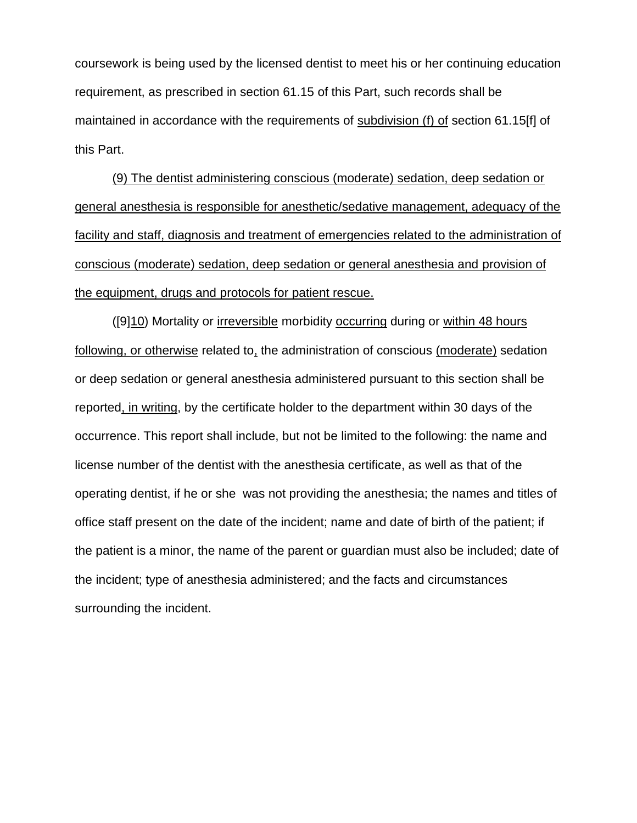coursework is being used by the licensed dentist to meet his or her continuing education requirement, as prescribed in section 61.15 of this Part, such records shall be maintained in accordance with the requirements of subdivision (f) of section 61.15[f] of this Part.

(9) The dentist administering conscious (moderate) sedation, deep sedation or general anesthesia is responsible for anesthetic/sedative management, adequacy of the facility and staff, diagnosis and treatment of emergencies related to the administration of conscious (moderate) sedation, deep sedation or general anesthesia and provision of the equipment, drugs and protocols for patient rescue.

([9]10) Mortality or irreversible morbidity occurring during or within 48 hours following, or otherwise related to, the administration of conscious (moderate) sedation or deep sedation or general anesthesia administered pursuant to this section shall be reported, in writing, by the certificate holder to the department within 30 days of the occurrence. This report shall include, but not be limited to the following: the name and license number of the dentist with the anesthesia certificate, as well as that of the operating dentist, if he or she was not providing the anesthesia; the names and titles of office staff present on the date of the incident; name and date of birth of the patient; if the patient is a minor, the name of the parent or guardian must also be included; date of the incident; type of anesthesia administered; and the facts and circumstances surrounding the incident.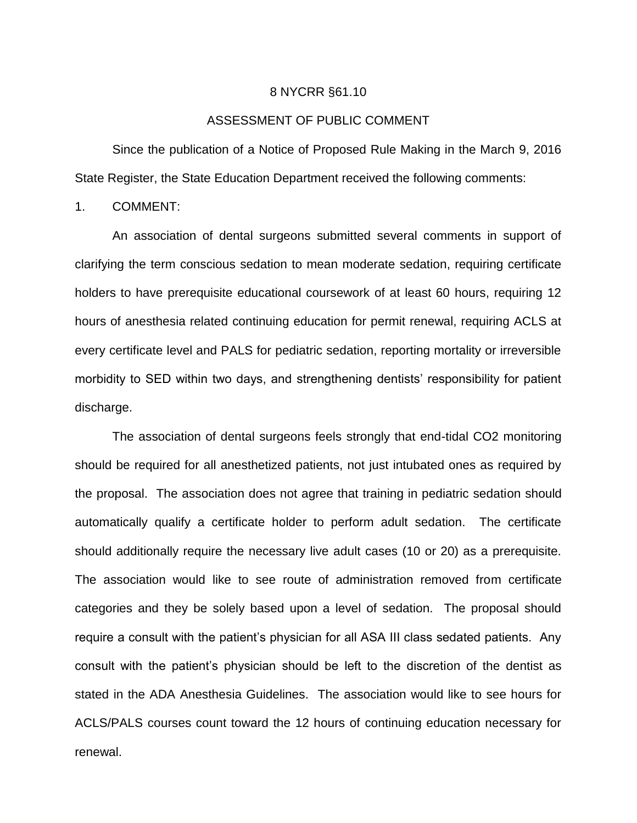#### 8 NYCRR §61.10

#### ASSESSMENT OF PUBLIC COMMENT

Since the publication of a Notice of Proposed Rule Making in the March 9, 2016 State Register, the State Education Department received the following comments:

1. COMMENT:

An association of dental surgeons submitted several comments in support of clarifying the term conscious sedation to mean moderate sedation, requiring certificate holders to have prerequisite educational coursework of at least 60 hours, requiring 12 hours of anesthesia related continuing education for permit renewal, requiring ACLS at every certificate level and PALS for pediatric sedation, reporting mortality or irreversible morbidity to SED within two days, and strengthening dentists' responsibility for patient discharge.

The association of dental surgeons feels strongly that end-tidal CO2 monitoring should be required for all anesthetized patients, not just intubated ones as required by the proposal. The association does not agree that training in pediatric sedation should automatically qualify a certificate holder to perform adult sedation. The certificate should additionally require the necessary live adult cases (10 or 20) as a prerequisite. The association would like to see route of administration removed from certificate categories and they be solely based upon a level of sedation. The proposal should require a consult with the patient's physician for all ASA III class sedated patients. Any consult with the patient's physician should be left to the discretion of the dentist as stated in the ADA Anesthesia Guidelines. The association would like to see hours for ACLS/PALS courses count toward the 12 hours of continuing education necessary for renewal.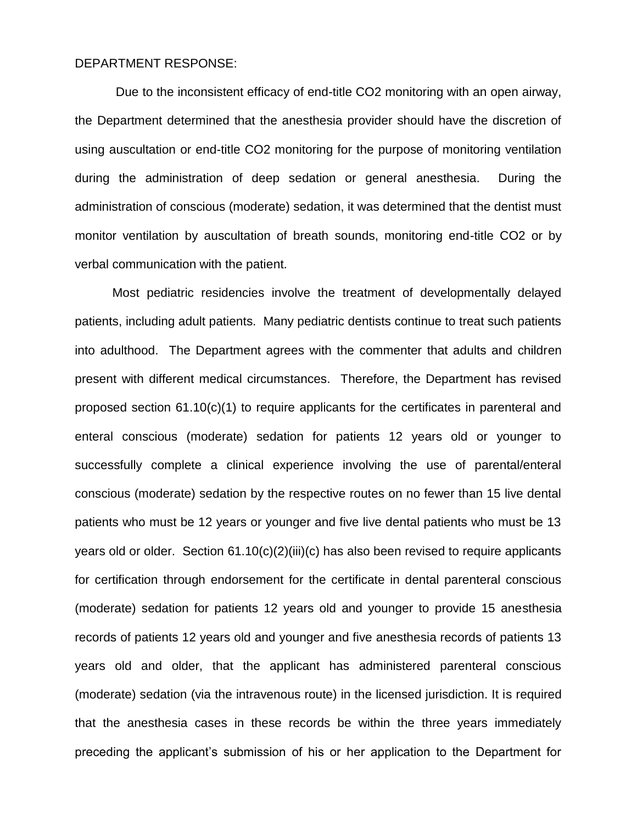#### DEPARTMENT RESPONSE:

Due to the inconsistent efficacy of end-title CO2 monitoring with an open airway, the Department determined that the anesthesia provider should have the discretion of using auscultation or end-title CO2 monitoring for the purpose of monitoring ventilation during the administration of deep sedation or general anesthesia. During the administration of conscious (moderate) sedation, it was determined that the dentist must monitor ventilation by auscultation of breath sounds, monitoring end-title CO2 or by verbal communication with the patient.

Most pediatric residencies involve the treatment of developmentally delayed patients, including adult patients. Many pediatric dentists continue to treat such patients into adulthood. The Department agrees with the commenter that adults and children present with different medical circumstances. Therefore, the Department has revised proposed section 61.10(c)(1) to require applicants for the certificates in parenteral and enteral conscious (moderate) sedation for patients 12 years old or younger to successfully complete a clinical experience involving the use of parental/enteral conscious (moderate) sedation by the respective routes on no fewer than 15 live dental patients who must be 12 years or younger and five live dental patients who must be 13 years old or older. Section 61.10(c)(2)(iii)(c) has also been revised to require applicants for certification through endorsement for the certificate in dental parenteral conscious (moderate) sedation for patients 12 years old and younger to provide 15 anesthesia records of patients 12 years old and younger and five anesthesia records of patients 13 years old and older, that the applicant has administered parenteral conscious (moderate) sedation (via the intravenous route) in the licensed jurisdiction. It is required that the anesthesia cases in these records be within the three years immediately preceding the applicant's submission of his or her application to the Department for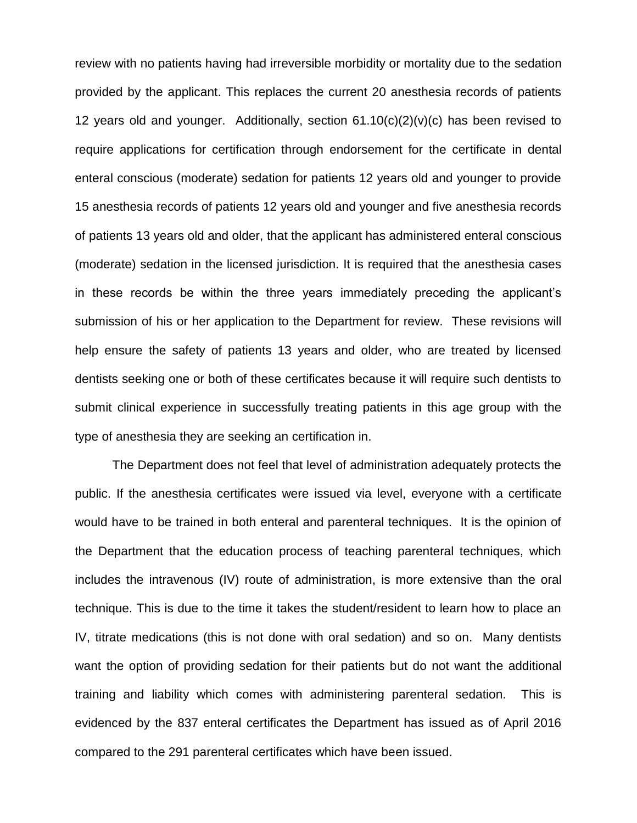review with no patients having had irreversible morbidity or mortality due to the sedation provided by the applicant. This replaces the current 20 anesthesia records of patients 12 years old and younger. Additionally, section  $61.10(c)(2)(v)(c)$  has been revised to require applications for certification through endorsement for the certificate in dental enteral conscious (moderate) sedation for patients 12 years old and younger to provide 15 anesthesia records of patients 12 years old and younger and five anesthesia records of patients 13 years old and older, that the applicant has administered enteral conscious (moderate) sedation in the licensed jurisdiction. It is required that the anesthesia cases in these records be within the three years immediately preceding the applicant's submission of his or her application to the Department for review. These revisions will help ensure the safety of patients 13 years and older, who are treated by licensed dentists seeking one or both of these certificates because it will require such dentists to submit clinical experience in successfully treating patients in this age group with the type of anesthesia they are seeking an certification in.

The Department does not feel that level of administration adequately protects the public. If the anesthesia certificates were issued via level, everyone with a certificate would have to be trained in both enteral and parenteral techniques. It is the opinion of the Department that the education process of teaching parenteral techniques, which includes the intravenous (IV) route of administration, is more extensive than the oral technique. This is due to the time it takes the student/resident to learn how to place an IV, titrate medications (this is not done with oral sedation) and so on. Many dentists want the option of providing sedation for their patients but do not want the additional training and liability which comes with administering parenteral sedation. This is evidenced by the 837 enteral certificates the Department has issued as of April 2016 compared to the 291 parenteral certificates which have been issued.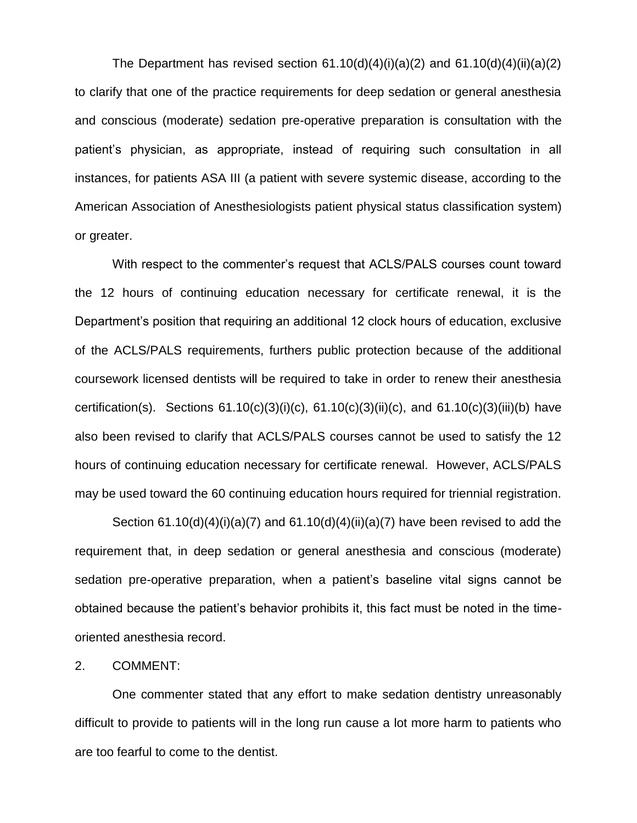The Department has revised section  $61.10(d)(4)(i)(a)(2)$  and  $61.10(d)(4)(ii)(a)(2)$ to clarify that one of the practice requirements for deep sedation or general anesthesia and conscious (moderate) sedation pre-operative preparation is consultation with the patient's physician, as appropriate, instead of requiring such consultation in all instances, for patients ASA III (a patient with severe systemic disease, according to the American Association of Anesthesiologists patient physical status classification system) or greater.

With respect to the commenter's request that ACLS/PALS courses count toward the 12 hours of continuing education necessary for certificate renewal, it is the Department's position that requiring an additional 12 clock hours of education, exclusive of the ACLS/PALS requirements, furthers public protection because of the additional coursework licensed dentists will be required to take in order to renew their anesthesia certification(s). Sections  $61.10(c)(3)(i)(c)$ ,  $61.10(c)(3)(ii)(c)$ , and  $61.10(c)(3)(iii)(b)$  have also been revised to clarify that ACLS/PALS courses cannot be used to satisfy the 12 hours of continuing education necessary for certificate renewal. However, ACLS/PALS may be used toward the 60 continuing education hours required for triennial registration.

Section  $61.10(d)(4)(i)(a)(7)$  and  $61.10(d)(4)(ii)(a)(7)$  have been revised to add the requirement that, in deep sedation or general anesthesia and conscious (moderate) sedation pre-operative preparation, when a patient's baseline vital signs cannot be obtained because the patient's behavior prohibits it, this fact must be noted in the timeoriented anesthesia record.

#### 2. COMMENT:

One commenter stated that any effort to make sedation dentistry unreasonably difficult to provide to patients will in the long run cause a lot more harm to patients who are too fearful to come to the dentist.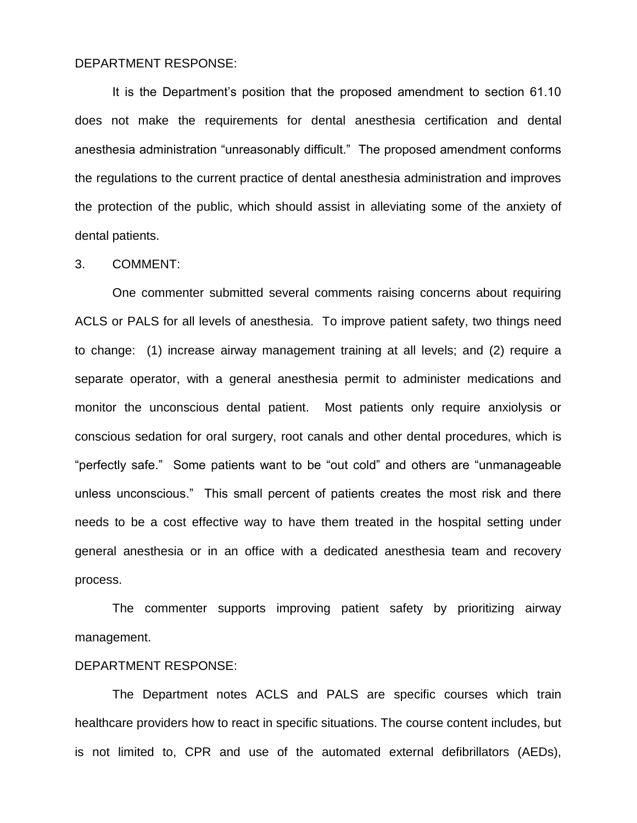#### DEPARTMENT RESPONSE:

It is the Department's position that the proposed amendment to section 61.10 does not make the requirements for dental anesthesia certification and dental anesthesia administration "unreasonably difficult." The proposed amendment conforms the regulations to the current practice of dental anesthesia administration and improves the protection of the public, which should assist in alleviating some of the anxiety of dental patients.

#### 3. COMMENT:

One commenter submitted several comments raising concerns about requiring ACLS or PALS for all levels of anesthesia. To improve patient safety, two things need to change: (1) increase airway management training at all levels; and (2) require a separate operator, with a general anesthesia permit to administer medications and monitor the unconscious dental patient. Most patients only require anxiolysis or conscious sedation for oral surgery, root canals and other dental procedures, which is "perfectly safe." Some patients want to be "out cold" and others are "unmanageable unless unconscious." This small percent of patients creates the most risk and there needs to be a cost effective way to have them treated in the hospital setting under general anesthesia or in an office with a dedicated anesthesia team and recovery process.

The commenter supports improving patient safety by prioritizing airway management.

### DEPARTMENT RESPONSE:

The Department notes ACLS and PALS are specific courses which train healthcare providers how to react in specific situations. The course content includes, but is not limited to, CPR and use of the automated external defibrillators (AEDs),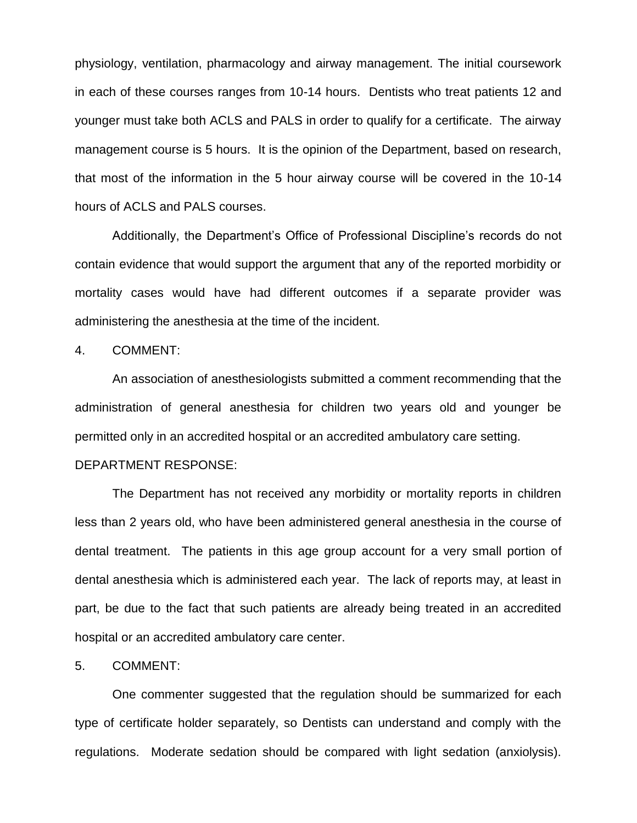physiology, ventilation, pharmacology and airway management. The initial coursework in each of these courses ranges from 10-14 hours. Dentists who treat patients 12 and younger must take both ACLS and PALS in order to qualify for a certificate. The airway management course is 5 hours. It is the opinion of the Department, based on research, that most of the information in the 5 hour airway course will be covered in the 10-14 hours of ACLS and PALS courses.

Additionally, the Department's Office of Professional Discipline's records do not contain evidence that would support the argument that any of the reported morbidity or mortality cases would have had different outcomes if a separate provider was administering the anesthesia at the time of the incident.

4. COMMENT:

An association of anesthesiologists submitted a comment recommending that the administration of general anesthesia for children two years old and younger be permitted only in an accredited hospital or an accredited ambulatory care setting.

### DEPARTMENT RESPONSE:

The Department has not received any morbidity or mortality reports in children less than 2 years old, who have been administered general anesthesia in the course of dental treatment. The patients in this age group account for a very small portion of dental anesthesia which is administered each year. The lack of reports may, at least in part, be due to the fact that such patients are already being treated in an accredited hospital or an accredited ambulatory care center.

#### 5. COMMENT:

One commenter suggested that the regulation should be summarized for each type of certificate holder separately, so Dentists can understand and comply with the regulations. Moderate sedation should be compared with light sedation (anxiolysis).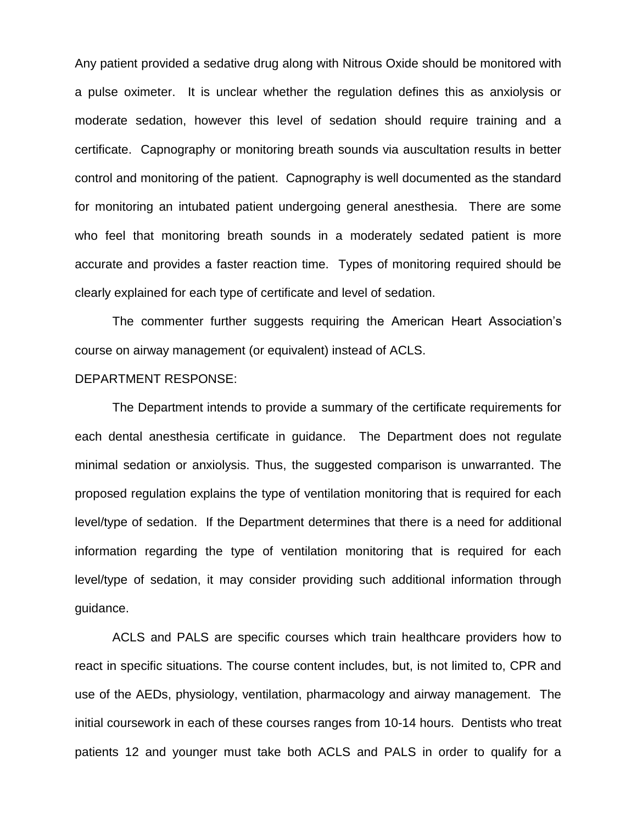Any patient provided a sedative drug along with Nitrous Oxide should be monitored with a pulse oximeter. It is unclear whether the regulation defines this as anxiolysis or moderate sedation, however this level of sedation should require training and a certificate. Capnography or monitoring breath sounds via auscultation results in better control and monitoring of the patient. Capnography is well documented as the standard for monitoring an intubated patient undergoing general anesthesia. There are some who feel that monitoring breath sounds in a moderately sedated patient is more accurate and provides a faster reaction time. Types of monitoring required should be clearly explained for each type of certificate and level of sedation.

The commenter further suggests requiring the American Heart Association's course on airway management (or equivalent) instead of ACLS.

### DEPARTMENT RESPONSE:

The Department intends to provide a summary of the certificate requirements for each dental anesthesia certificate in guidance. The Department does not regulate minimal sedation or anxiolysis. Thus, the suggested comparison is unwarranted. The proposed regulation explains the type of ventilation monitoring that is required for each level/type of sedation. If the Department determines that there is a need for additional information regarding the type of ventilation monitoring that is required for each level/type of sedation, it may consider providing such additional information through guidance.

ACLS and PALS are specific courses which train healthcare providers how to react in specific situations. The course content includes, but, is not limited to, CPR and use of the AEDs, physiology, ventilation, pharmacology and airway management. The initial coursework in each of these courses ranges from 10-14 hours. Dentists who treat patients 12 and younger must take both ACLS and PALS in order to qualify for a